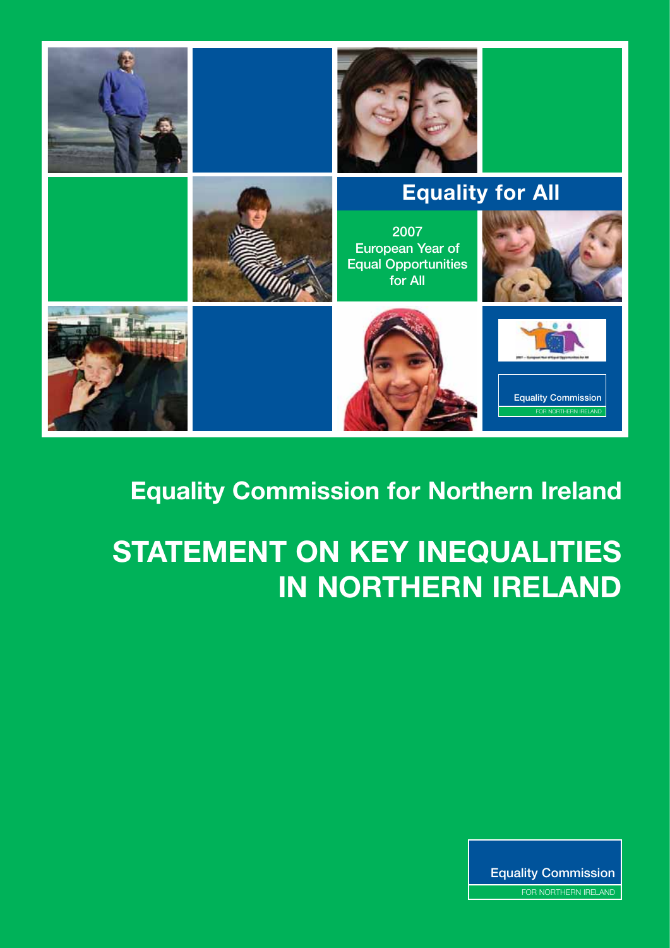

### **Equality Commission for Northern Ireland**

# **STATEMENT ON KEY INEQUALITIES IN NORTHERN IRELAND**

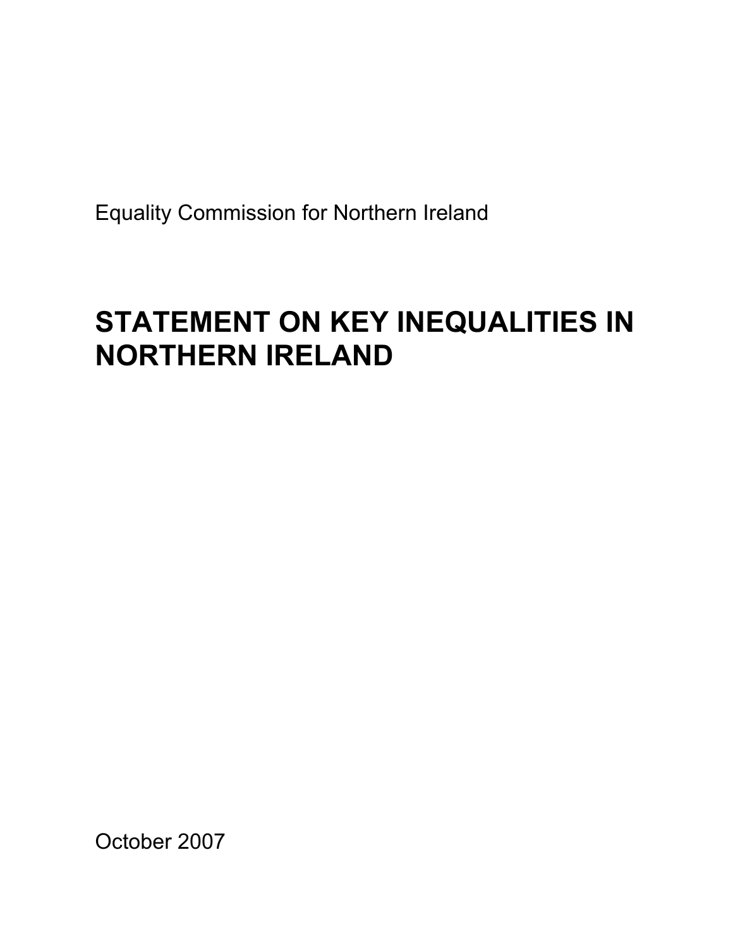Equality Commission for Northern Ireland

## **STATEMENT ON KEY INEQUALITIES IN NORTHERN IRELAND**

October 2007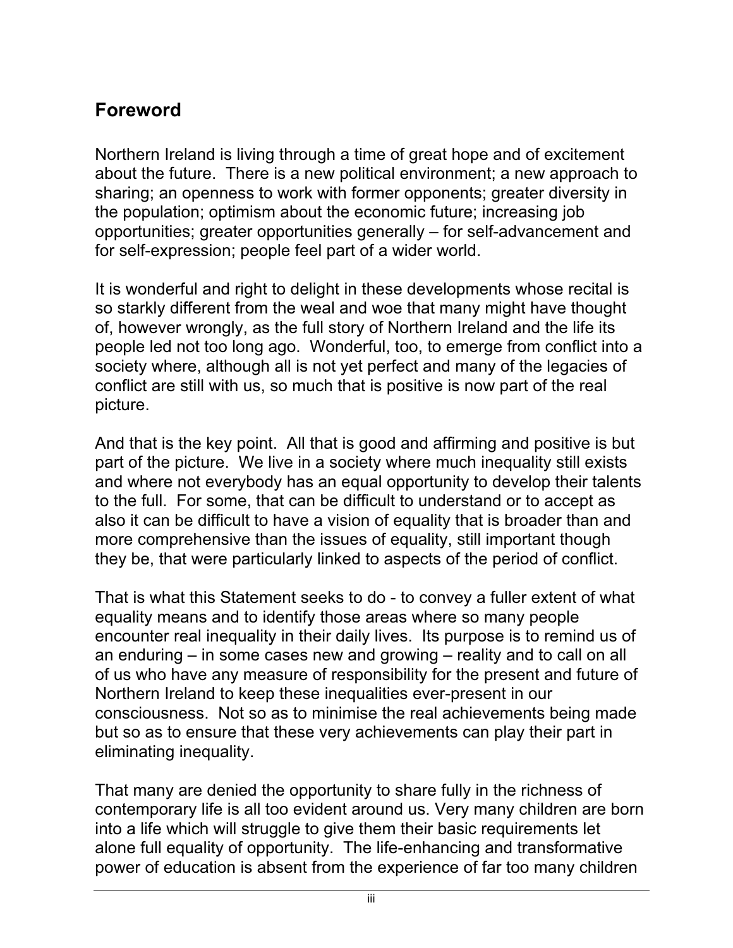#### **Foreword**

Northern Ireland is living through a time of great hope and of excitement about the future. There is a new political environment; a new approach to sharing; an openness to work with former opponents; greater diversity in the population; optimism about the economic future; increasing job opportunities; greater opportunities generally – for self-advancement and for self-expression; people feel part of a wider world.

It is wonderful and right to delight in these developments whose recital is so starkly different from the weal and woe that many might have thought of, however wrongly, as the full story of Northern Ireland and the life its people led not too long ago. Wonderful, too, to emerge from conflict into a society where, although all is not yet perfect and many of the legacies of conflict are still with us, so much that is positive is now part of the real picture.

And that is the key point. All that is good and affirming and positive is but part of the picture. We live in a society where much inequality still exists and where not everybody has an equal opportunity to develop their talents to the full. For some, that can be difficult to understand or to accept as also it can be difficult to have a vision of equality that is broader than and more comprehensive than the issues of equality, still important though they be, that were particularly linked to aspects of the period of conflict.

That is what this Statement seeks to do - to convey a fuller extent of what equality means and to identify those areas where so many people encounter real inequality in their daily lives. Its purpose is to remind us of an enduring – in some cases new and growing – reality and to call on all of us who have any measure of responsibility for the present and future of Northern Ireland to keep these inequalities ever-present in our consciousness. Not so as to minimise the real achievements being made but so as to ensure that these very achievements can play their part in eliminating inequality.

That many are denied the opportunity to share fully in the richness of contemporary life is all too evident around us. Very many children are born into a life which will struggle to give them their basic requirements let alone full equality of opportunity. The life-enhancing and transformative power of education is absent from the experience of far too many children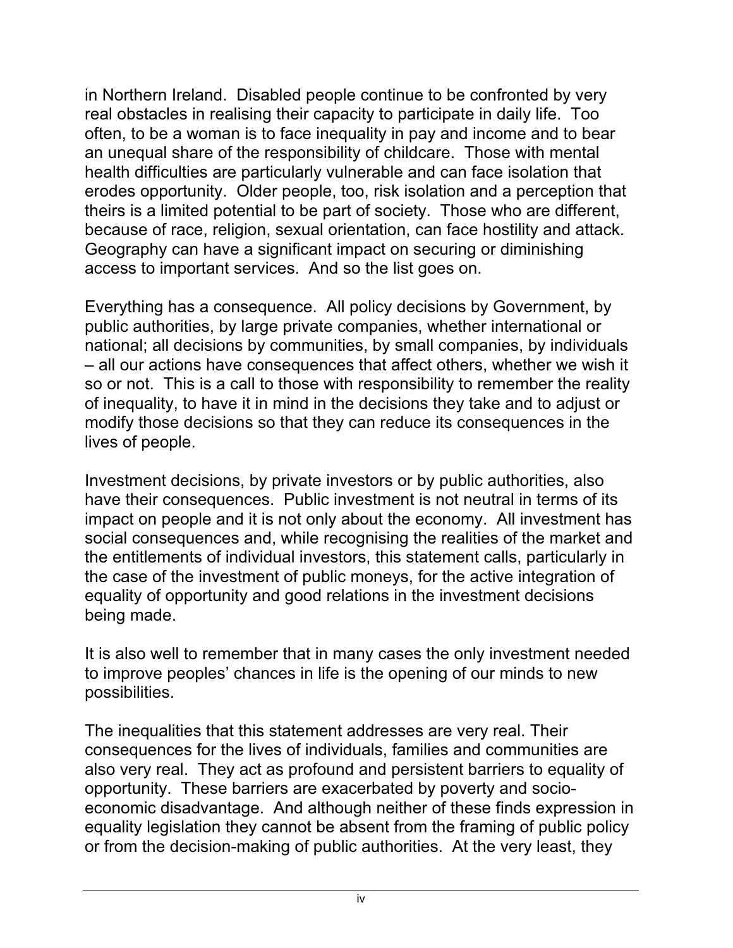in Northern Ireland. Disabled people continue to be confronted by very real obstacles in realising their capacity to participate in daily life. Too often, to be a woman is to face inequality in pay and income and to bear an unequal share of the responsibility of childcare. Those with mental health difficulties are particularly vulnerable and can face isolation that erodes opportunity. Older people, too, risk isolation and a perception that theirs is a limited potential to be part of society. Those who are different, because of race, religion, sexual orientation, can face hostility and attack. Geography can have a significant impact on securing or diminishing access to important services. And so the list goes on.

Everything has a consequence. All policy decisions by Government, by public authorities, by large private companies, whether international or national; all decisions by communities, by small companies, by individuals – all our actions have consequences that affect others, whether we wish it so or not. This is a call to those with responsibility to remember the reality of inequality, to have it in mind in the decisions they take and to adjust or modify those decisions so that they can reduce its consequences in the lives of people.

Investment decisions, by private investors or by public authorities, also have their consequences. Public investment is not neutral in terms of its impact on people and it is not only about the economy. All investment has social consequences and, while recognising the realities of the market and the entitlements of individual investors, this statement calls, particularly in the case of the investment of public moneys, for the active integration of equality of opportunity and good relations in the investment decisions being made.

It is also well to remember that in many cases the only investment needed to improve peoples' chances in life is the opening of our minds to new possibilities.

The inequalities that this statement addresses are very real. Their consequences for the lives of individuals, families and communities are also very real. They act as profound and persistent barriers to equality of opportunity. These barriers are exacerbated by poverty and socioeconomic disadvantage. And although neither of these finds expression in equality legislation they cannot be absent from the framing of public policy or from the decision-making of public authorities. At the very least, they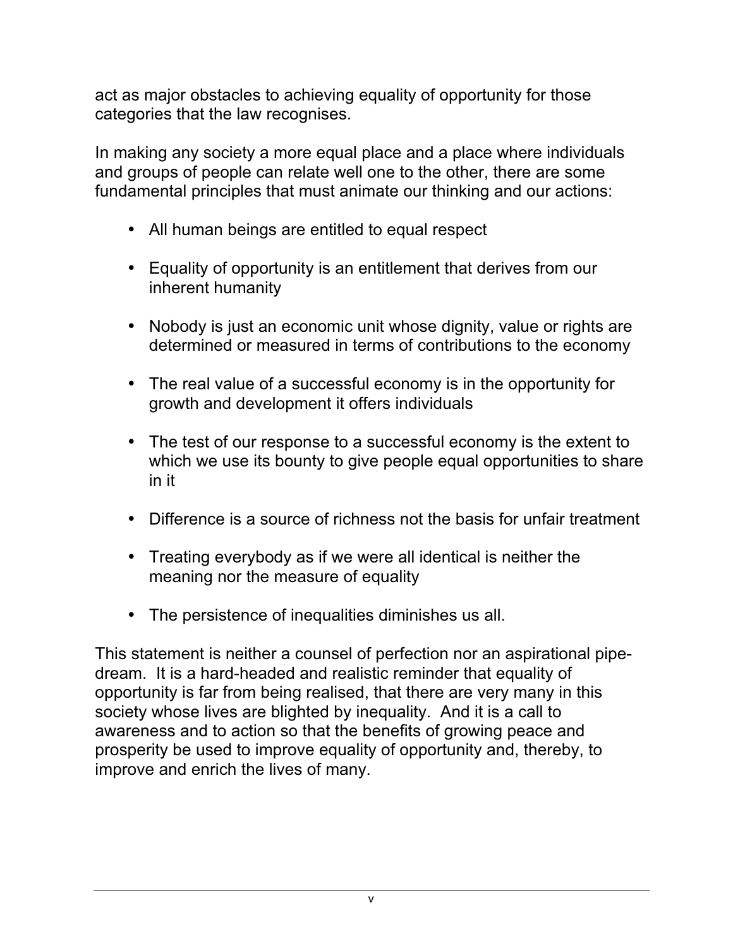act as major obstacles to achieving equality of opportunity for those categories that the law recognises.

In making any society a more equal place and a place where individuals and groups of people can relate well one to the other, there are some fundamental principles that must animate our thinking and our actions:

- All human beings are entitled to equal respect
- Equality of opportunity is an entitlement that derives from our inherent humanity
- Nobody is just an economic unit whose dignity, value or rights are determined or measured in terms of contributions to the economy
- The real value of a successful economy is in the opportunity for growth and development it offers individuals
- The test of our response to a successful economy is the extent to which we use its bounty to give people equal opportunities to share in it
- Difference is a source of richness not the basis for unfair treatment
- Treating everybody as if we were all identical is neither the meaning nor the measure of equality
- The persistence of inequalities diminishes us all.

This statement is neither a counsel of perfection nor an aspirational pipedream. It is a hard-headed and realistic reminder that equality of opportunity is far from being realised, that there are very many in this society whose lives are blighted by inequality. And it is a call to awareness and to action so that the benefits of growing peace and prosperity be used to improve equality of opportunity and, thereby, to improve and enrich the lives of many.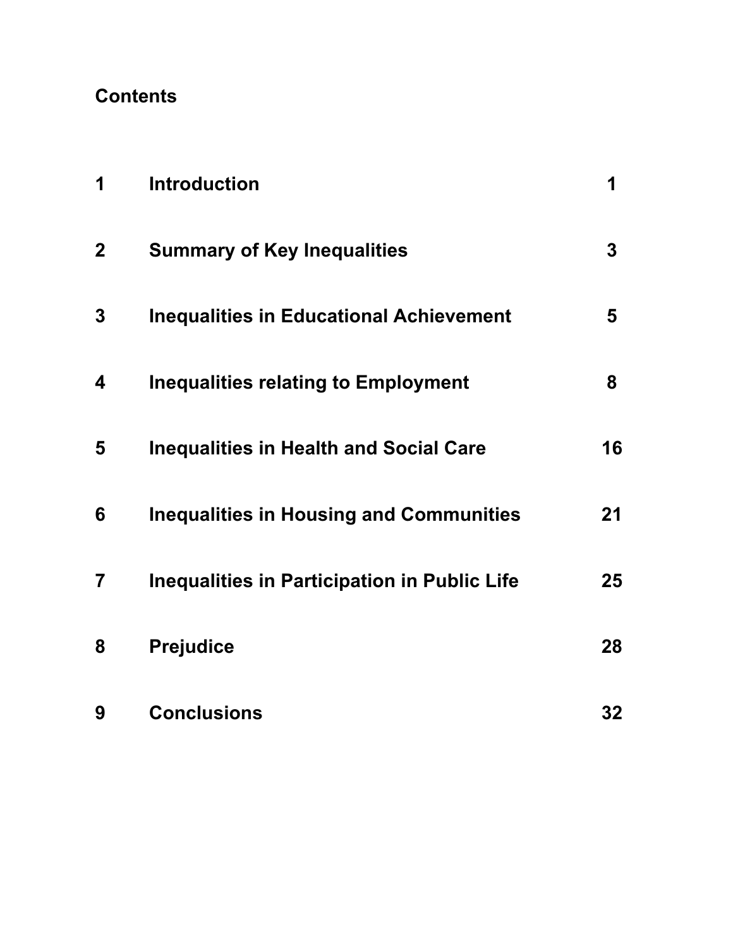#### **Contents**

| 1              | <b>Introduction</b>                                 | 1  |
|----------------|-----------------------------------------------------|----|
| $\overline{2}$ | <b>Summary of Key Inequalities</b>                  | 3  |
| 3              | <b>Inequalities in Educational Achievement</b>      | 5  |
| 4              | <b>Inequalities relating to Employment</b>          | 8  |
| 5              | <b>Inequalities in Health and Social Care</b>       | 16 |
| 6              | <b>Inequalities in Housing and Communities</b>      | 21 |
| 7              | <b>Inequalities in Participation in Public Life</b> | 25 |
| 8              | <b>Prejudice</b>                                    | 28 |
| 9              | <b>Conclusions</b>                                  | 32 |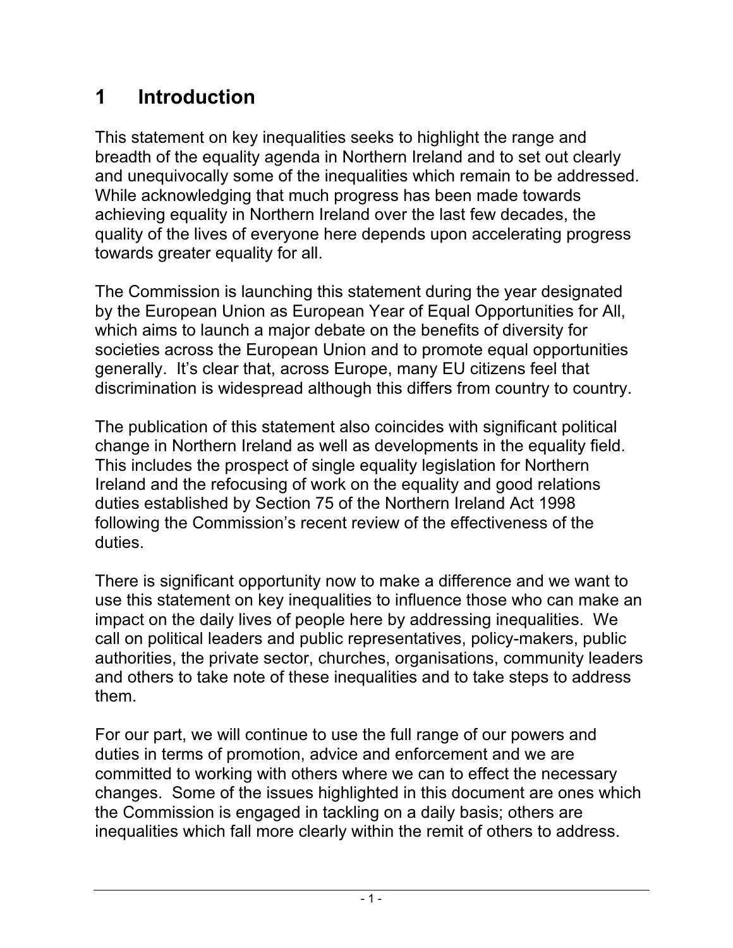#### **1 Introduction**

This statement on key inequalities seeks to highlight the range and breadth of the equality agenda in Northern Ireland and to set out clearly and unequivocally some of the inequalities which remain to be addressed. While acknowledging that much progress has been made towards achieving equality in Northern Ireland over the last few decades, the quality of the lives of everyone here depends upon accelerating progress towards greater equality for all.

The Commission is launching this statement during the year designated by the European Union as European Year of Equal Opportunities for All, which aims to launch a major debate on the benefits of diversity for societies across the European Union and to promote equal opportunities generally. It's clear that, across Europe, many EU citizens feel that discrimination is widespread although this differs from country to country.

The publication of this statement also coincides with significant political change in Northern Ireland as well as developments in the equality field. This includes the prospect of single equality legislation for Northern Ireland and the refocusing of work on the equality and good relations duties established by Section 75 of the Northern Ireland Act 1998 following the Commission's recent review of the effectiveness of the duties.

There is significant opportunity now to make a difference and we want to use this statement on key inequalities to influence those who can make an impact on the daily lives of people here by addressing inequalities. We call on political leaders and public representatives, policy-makers, public authorities, the private sector, churches, organisations, community leaders and others to take note of these inequalities and to take steps to address them.

For our part, we will continue to use the full range of our powers and duties in terms of promotion, advice and enforcement and we are committed to working with others where we can to effect the necessary changes. Some of the issues highlighted in this document are ones which the Commission is engaged in tackling on a daily basis; others are inequalities which fall more clearly within the remit of others to address.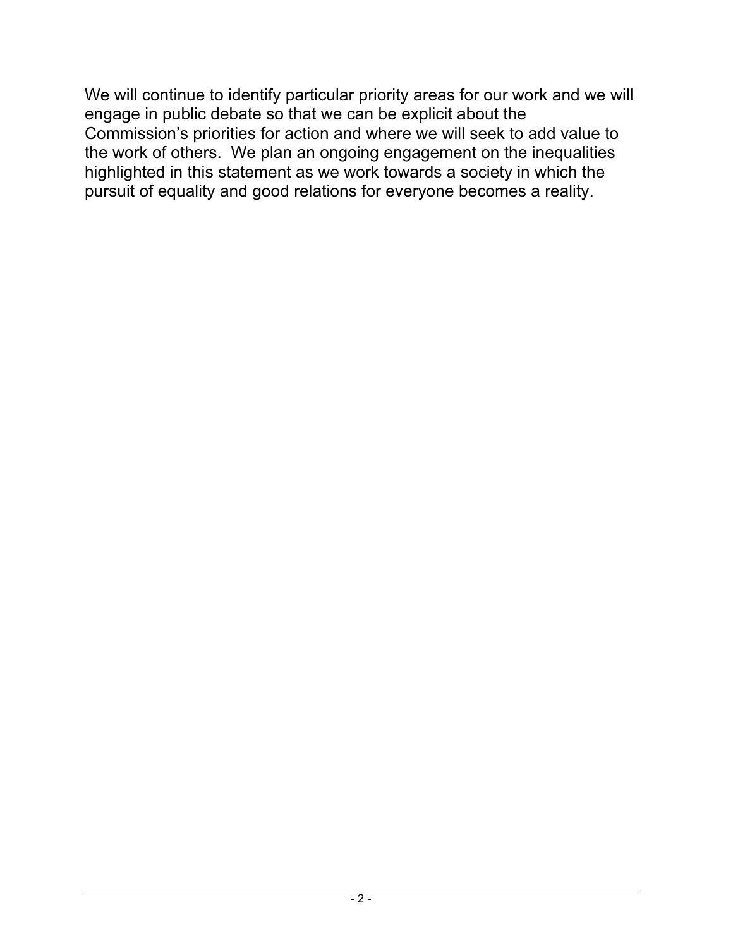We will continue to identify particular priority areas for our work and we will engage in public debate so that we can be explicit about the Commission's priorities for action and where we will seek to add value to the work of others. We plan an ongoing engagement on the inequalities highlighted in this statement as we work towards a society in which the pursuit of equality and good relations for everyone becomes a reality.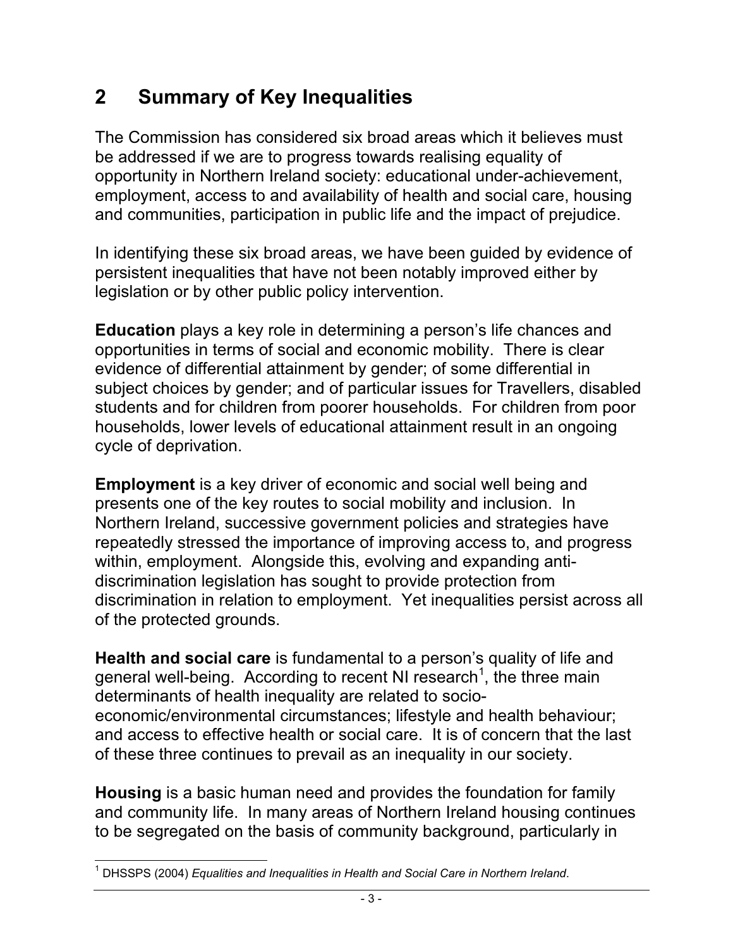#### **2 Summary of Key Inequalities**

The Commission has considered six broad areas which it believes must be addressed if we are to progress towards realising equality of opportunity in Northern Ireland society: educational under-achievement, employment, access to and availability of health and social care, housing and communities, participation in public life and the impact of prejudice.

In identifying these six broad areas, we have been guided by evidence of persistent inequalities that have not been notably improved either by legislation or by other public policy intervention.

**Education** plays a key role in determining a person's life chances and opportunities in terms of social and economic mobility. There is clear evidence of differential attainment by gender; of some differential in subject choices by gender; and of particular issues for Travellers, disabled students and for children from poorer households. For children from poor households, lower levels of educational attainment result in an ongoing cycle of deprivation.

**Employment** is a key driver of economic and social well being and presents one of the key routes to social mobility and inclusion. In Northern Ireland, successive government policies and strategies have repeatedly stressed the importance of improving access to, and progress within, employment. Alongside this, evolving and expanding antidiscrimination legislation has sought to provide protection from discrimination in relation to employment. Yet inequalities persist across all of the protected grounds.

**Health and social care** is fundamental to a person's quality of life and general well-being. According to recent NI research<sup>1</sup>, the three main determinants of health inequality are related to socioeconomic/environmental circumstances; lifestyle and health behaviour; and access to effective health or social care. It is of concern that the last of these three continues to prevail as an inequality in our society.

**Housing** is a basic human need and provides the foundation for family and community life. In many areas of Northern Ireland housing continues to be segregated on the basis of community background, particularly in

 <sup>1</sup> DHSSPS (2004) *Equalities and Inequalities in Health and Social Care in Northern Ireland*.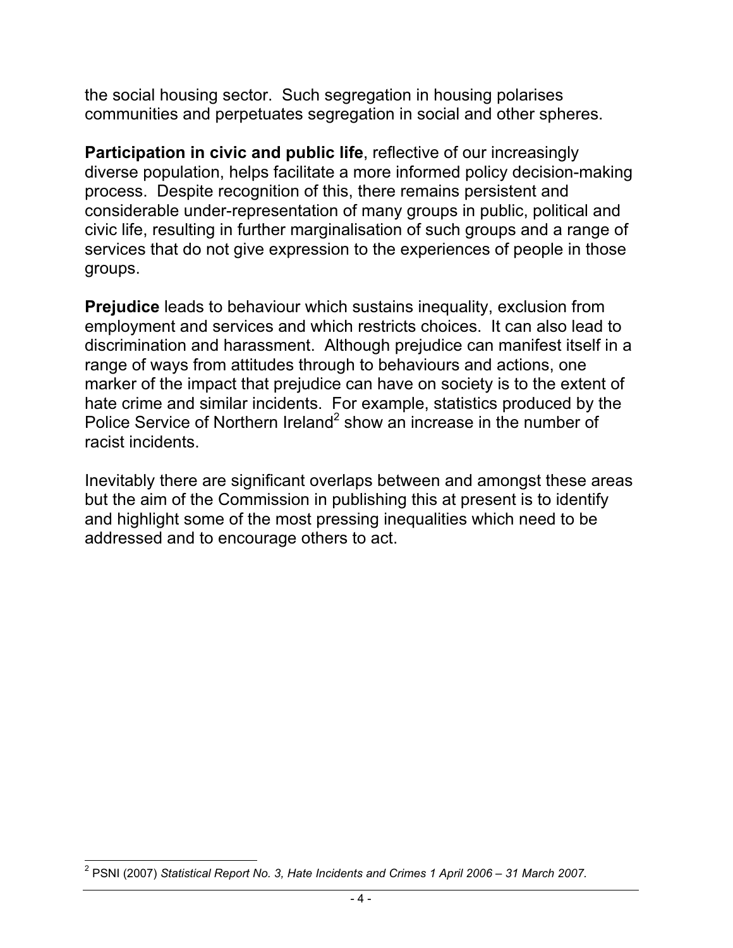the social housing sector. Such segregation in housing polarises communities and perpetuates segregation in social and other spheres.

**Participation in civic and public life**, reflective of our increasingly diverse population, helps facilitate a more informed policy decision-making process. Despite recognition of this, there remains persistent and considerable under-representation of many groups in public, political and civic life, resulting in further marginalisation of such groups and a range of services that do not give expression to the experiences of people in those groups.

**Prejudice** leads to behaviour which sustains inequality, exclusion from employment and services and which restricts choices. It can also lead to discrimination and harassment. Although prejudice can manifest itself in a range of ways from attitudes through to behaviours and actions, one marker of the impact that prejudice can have on society is to the extent of hate crime and similar incidents. For example, statistics produced by the Police Service of Northern Ireland<sup>2</sup> show an increase in the number of racist incidents.

Inevitably there are significant overlaps between and amongst these areas but the aim of the Commission in publishing this at present is to identify and highlight some of the most pressing inequalities which need to be addressed and to encourage others to act.

 <sup>2</sup> PSNI (2007) *Statistical Report No. 3, Hate Incidents and Crimes 1 April 2006 – 31 March 2007.*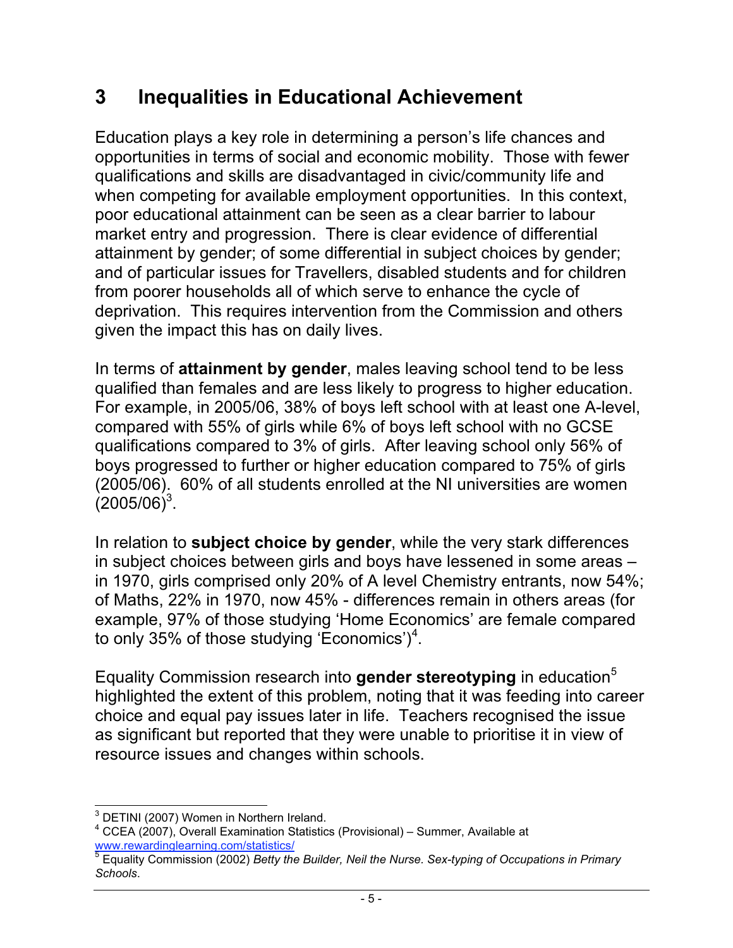#### **3 Inequalities in Educational Achievement**

Education plays a key role in determining a person's life chances and opportunities in terms of social and economic mobility. Those with fewer qualifications and skills are disadvantaged in civic/community life and when competing for available employment opportunities. In this context, poor educational attainment can be seen as a clear barrier to labour market entry and progression. There is clear evidence of differential attainment by gender; of some differential in subject choices by gender; and of particular issues for Travellers, disabled students and for children from poorer households all of which serve to enhance the cycle of deprivation. This requires intervention from the Commission and others given the impact this has on daily lives.

In terms of **attainment by gender**, males leaving school tend to be less qualified than females and are less likely to progress to higher education. For example, in 2005/06, 38% of boys left school with at least one A-level, compared with 55% of girls while 6% of boys left school with no GCSE qualifications compared to 3% of girls. After leaving school only 56% of boys progressed to further or higher education compared to 75% of girls (2005/06). 60% of all students enrolled at the NI universities are women  $(2005/06)^3$ .

In relation to **subject choice by gender**, while the very stark differences in subject choices between girls and boys have lessened in some areas – in 1970, girls comprised only 20% of A level Chemistry entrants, now 54%; of Maths, 22% in 1970, now 45% - differences remain in others areas (for example, 97% of those studying 'Home Economics' are female compared to only 35% of those studying 'Economics')<sup>4</sup>.

Equality Commission research into **gender stereotyping** in education<sup>5</sup> highlighted the extent of this problem, noting that it was feeding into career choice and equal pay issues later in life. Teachers recognised the issue as significant but reported that they were unable to prioritise it in view of resource issues and changes within schools.

 <sup>3</sup> DETINI (2007) Women in Northern Ireland.

<sup>&</sup>lt;sup>4</sup> CCEA (2007), Overall Examination Statistics (Provisional) – Summer, Available at www.rewardinglearning.com/statistics/

<sup>5</sup> Equality Commission (2002) *Betty the Builder, Neil the Nurse. Sex-typing of Occupations in Primary Schools*.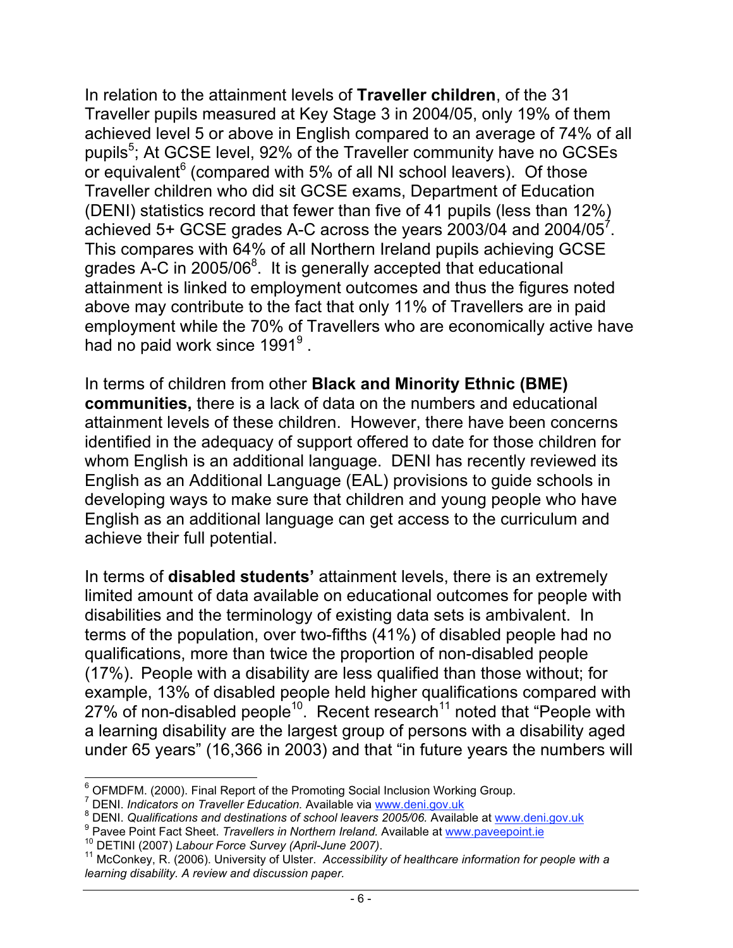In relation to the attainment levels of **Traveller children**, of the 31 Traveller pupils measured at Key Stage 3 in 2004/05, only 19% of them achieved level 5 or above in English compared to an average of 74% of all pupils<sup>5</sup>; At GCSE level, 92% of the Traveller community have no GCSEs or equivalent<sup>6</sup> (compared with 5% of all NI school leavers). Of those Traveller children who did sit GCSE exams, Department of Education (DENI) statistics record that fewer than five of 41 pupils (less than 12%) achieved 5+ GCSE grades A-C across the years 2003/04 and 2004/05 $^7$ . This compares with 64% of all Northern Ireland pupils achieving GCSE grades A-C in 2005/06 $^{8}$ . It is generally accepted that educational attainment is linked to employment outcomes and thus the figures noted above may contribute to the fact that only 11% of Travellers are in paid employment while the 70% of Travellers who are economically active have had no paid work since 1991 $^9$  .

In terms of children from other **Black and Minority Ethnic (BME) communities,** there is a lack of data on the numbers and educational attainment levels of these children. However, there have been concerns identified in the adequacy of support offered to date for those children for whom English is an additional language. DENI has recently reviewed its English as an Additional Language (EAL) provisions to guide schools in developing ways to make sure that children and young people who have English as an additional language can get access to the curriculum and achieve their full potential.

In terms of **disabled students'** attainment levels, there is an extremely limited amount of data available on educational outcomes for people with disabilities and the terminology of existing data sets is ambivalent. In terms of the population, over two-fifths (41%) of disabled people had no qualifications, more than twice the proportion of non-disabled people (17%). People with a disability are less qualified than those without; for example, 13% of disabled people held higher qualifications compared with 27% of non-disabled people<sup>10</sup>. Recent research<sup>11</sup> noted that "People with a learning disability are the largest group of persons with a disability aged under 65 years" (16,366 in 2003) and that "in future years the numbers will

 <sup>6</sup> OFMDFM. (2000). Final Report of the Promoting Social Inclusion Working Group.

<sup>&</sup>lt;sup>7</sup> DENI. *Indicators on Traveller Education.* Available via www.deni.gov.uk<br><sup>8</sup> DENI, Qualifications and destinations of school logyers 2005/06, Availab

<sup>&</sup>lt;sup>8</sup> DENI. *Qualifications and destinations of school leavers 2005/06.* Available at www.deni.gov.uk<br><sup>9</sup> Pavee Point Fact Sheet. *Travellers in Northern Ireland.* Available at www.paveepoint.ie

<sup>&</sup>lt;sup>10</sup> DETINI (2007) Labour Force Survey (April-June 2007).<br><sup>11</sup> McConkey, R. (2006). University of Ulster. Accessibility of healthcare information for people with a *learning disability. A review and discussion paper.*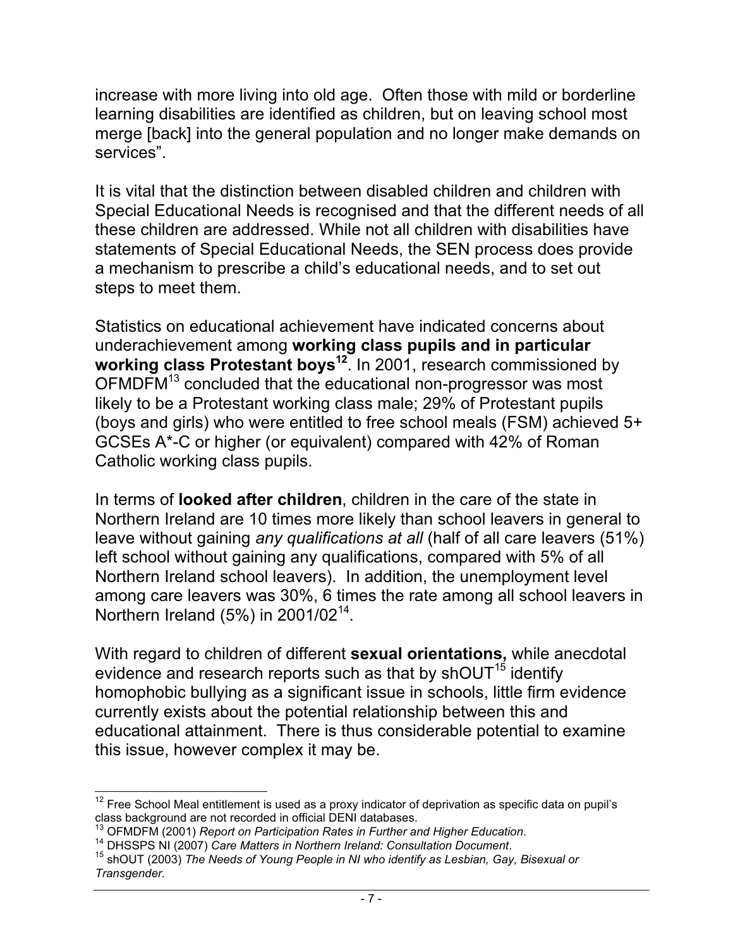increase with more living into old age. Often those with mild or borderline learning disabilities are identified as children, but on leaving school most merge [back] into the general population and no longer make demands on services".

It is vital that the distinction between disabled children and children with Special Educational Needs is recognised and that the different needs of all these children are addressed. While not all children with disabilities have statements of Special Educational Needs, the SEN process does provide a mechanism to prescribe a child's educational needs, and to set out steps to meet them.

Statistics on educational achievement have indicated concerns about underachievement among **working class pupils and in particular** working class Protestant boys<sup>12</sup>. In 2001, research commissioned by OFMDFM<sup>13</sup> concluded that the educational non-progressor was most likely to be a Protestant working class male; 29% of Protestant pupils (boys and girls) who were entitled to free school meals (FSM) achieved 5+ GCSEs A\*-C or higher (or equivalent) compared with 42% of Roman Catholic working class pupils.

In terms of **looked after children**, children in the care of the state in Northern Ireland are 10 times more likely than school leavers in general to leave without gaining *any qualifications at all* (half of all care leavers (51%) left school without gaining any qualifications, compared with 5% of all Northern Ireland school leavers). In addition, the unemployment level among care leavers was 30%, 6 times the rate among all school leavers in Northern Ireland (5%) in  $2001/02^{14}$ .

With regard to children of different **sexual orientations,** while anecdotal evidence and research reports such as that by shOUT<sup>15</sup> identify homophobic bullying as a significant issue in schools, little firm evidence currently exists about the potential relationship between this and educational attainment. There is thus considerable potential to examine this issue, however complex it may be.

 $12$  Free School Meal entitlement is used as a proxy indicator of deprivation as specific data on pupil's class background are not recorded in official DENI databases.<br><sup>13</sup> OFMDFM (2001) Report on Participation Rates in Further and Higher Education.

<sup>&</sup>lt;sup>14</sup> DHSSPS NI (2007) Care Matters in Northern Ireland: Consultation Document.<br><sup>15</sup> shOUT (2003) The Needs of Young People in NI who identify as Lesbian, Gay, Bisexual or *Transgender.*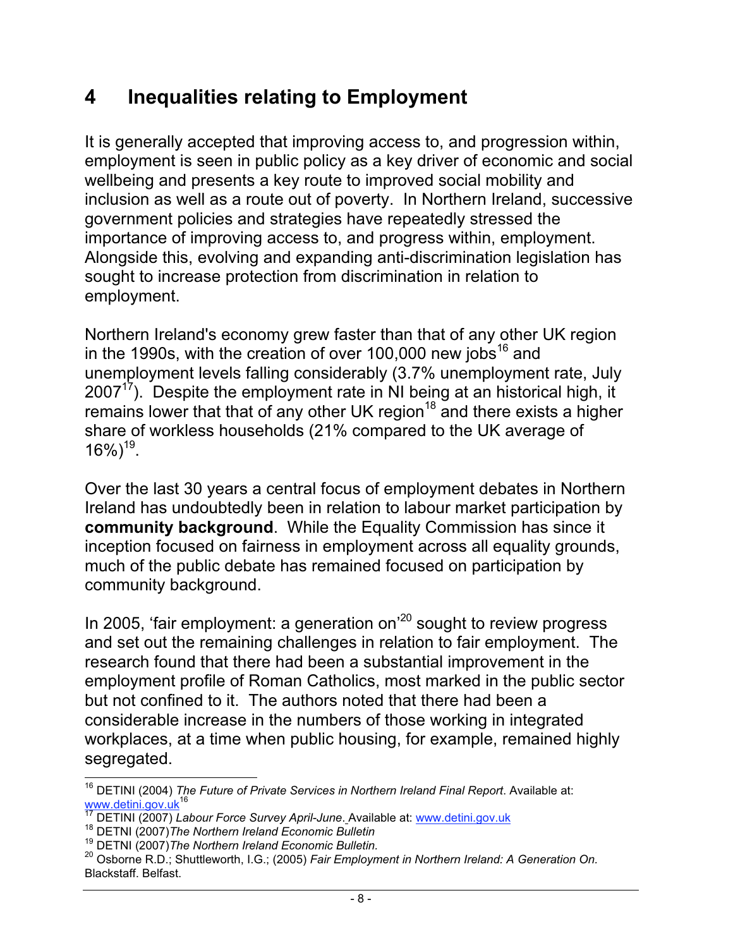#### **4 Inequalities relating to Employment**

It is generally accepted that improving access to, and progression within, employment is seen in public policy as a key driver of economic and social wellbeing and presents a key route to improved social mobility and inclusion as well as a route out of poverty. In Northern Ireland, successive government policies and strategies have repeatedly stressed the importance of improving access to, and progress within, employment. Alongside this, evolving and expanding anti-discrimination legislation has sought to increase protection from discrimination in relation to employment.

Northern Ireland's economy grew faster than that of any other UK region in the 1990s, with the creation of over 100,000 new jobs<sup>16</sup> and unemployment levels falling considerably (3.7% unemployment rate, July  $2007<sup>17</sup>$ ). Despite the employment rate in NI being at an historical high, it remains lower that that of any other UK region<sup>18</sup> and there exists a higher share of workless households (21% compared to the UK average of  $16\%$ <sup>19</sup>.

Over the last 30 years a central focus of employment debates in Northern Ireland has undoubtedly been in relation to labour market participation by **community background**.While the Equality Commission has since it inception focused on fairness in employment across all equality grounds, much of the public debate has remained focused on participation by community background.

In 2005, 'fair employment: a generation on<sup>'20</sup> sought to review progress and set out the remaining challenges in relation to fair employment. The research found that there had been a substantial improvement in the employment profile of Roman Catholics, most marked in the public sector but not confined to it. The authors noted that there had been a considerable increase in the numbers of those working in integrated workplaces, at a time when public housing, for example, remained highly segregated.

 <sup>16</sup> DETINI (2004) *The Future of Private Services in Northern Ireland Final Report*. Available at: www.detini.gov.uk<sup>16</sup><br><sup>16</sup> xternini.gov.uk

<sup>&</sup>lt;sup>17</sup> DETINI (2007) *Labour Force Survey April-June*. Available at: www.detini.gov.uk<br><sup>18</sup> DETNI (2007)*The Northern Ireland Economic Bulletin* 

<sup>19</sup> DETNI (2007)*The Northern Ireland Economic Bulletin.*

<sup>20</sup> Osborne R.D.; Shuttleworth, I.G.; (2005) *Fair Employment in Northern Ireland: A Generation On.* Blackstaff. Belfast.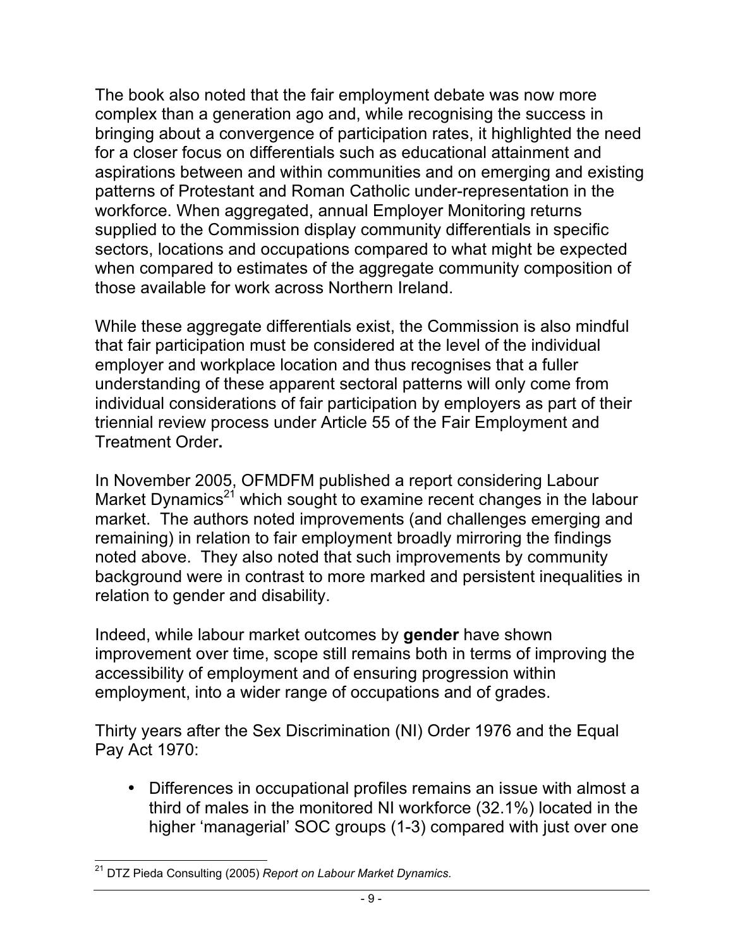The book also noted that the fair employment debate was now more complex than a generation ago and, while recognising the success in bringing about a convergence of participation rates, it highlighted the need for a closer focus on differentials such as educational attainment and aspirations between and within communities and on emerging and existing patterns of Protestant and Roman Catholic under-representation in the workforce. When aggregated, annual Employer Monitoring returns supplied to the Commission display community differentials in specific sectors, locations and occupations compared to what might be expected when compared to estimates of the aggregate community composition of those available for work across Northern Ireland.

While these aggregate differentials exist, the Commission is also mindful that fair participation must be considered at the level of the individual employer and workplace location and thus recognises that a fuller understanding of these apparent sectoral patterns will only come from individual considerations of fair participation by employers as part of their triennial review process under Article 55 of the Fair Employment and Treatment Order**.**

In November 2005, OFMDFM published a report considering Labour Market Dynamics $21$  which sought to examine recent changes in the labour market. The authors noted improvements (and challenges emerging and remaining) in relation to fair employment broadly mirroring the findings noted above. They also noted that such improvements by community background were in contrast to more marked and persistent inequalities in relation to gender and disability.

Indeed, while labour market outcomes by **gender** have shown improvement over time, scope still remains both in terms of improving the accessibility of employment and of ensuring progression within employment, into a wider range of occupations and of grades.

Thirty years after the Sex Discrimination (NI) Order 1976 and the Equal Pay Act 1970:

• Differences in occupational profiles remains an issue with almost a third of males in the monitored NI workforce (32.1%) located in the higher 'managerial' SOC groups (1-3) compared with just over one

 <sup>21</sup> DTZ Pieda Consulting (2005) *Report on Labour Market Dynamics.*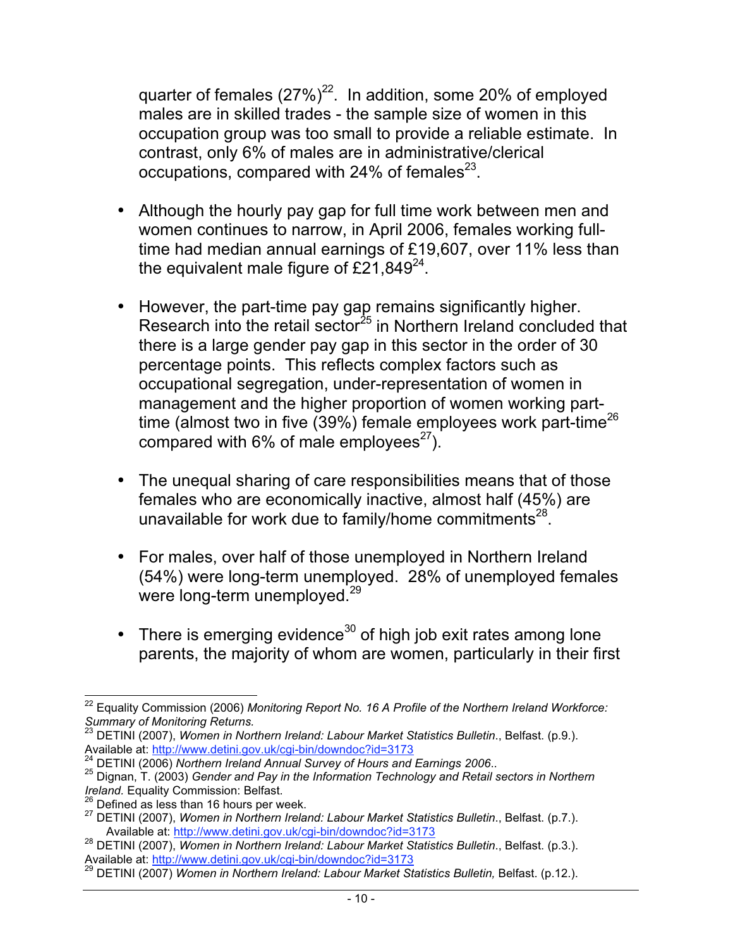quarter of females  $(27\%)^{22}$ . In addition, some 20% of employed males are in skilled trades - the sample size of women in this occupation group was too small to provide a reliable estimate. In contrast, only 6% of males are in administrative/clerical occupations, compared with  $24\%$  of females<sup>23</sup>.

- Although the hourly pay gap for full time work between men and women continues to narrow, in April 2006, females working fulltime had median annual earnings of £19,607, over 11% less than the equivalent male figure of  $£21,849^{24}$ .
- However, the part-time pay gap remains significantly higher. Research into the retail sector<sup>25</sup> in Northern Ireland concluded that there is a large gender pay gap in this sector in the order of 30 percentage points. This reflects complex factors such as occupational segregation, under-representation of women in management and the higher proportion of women working parttime (almost two in five (39%) female employees work part-time<sup>26</sup> compared with 6% of male employees $^{27}$ ).
- The unequal sharing of care responsibilities means that of those females who are economically inactive, almost half (45%) are unavailable for work due to family/home commitments<sup>28</sup>.
- For males, over half of those unemployed in Northern Ireland (54%) were long-term unemployed. 28% of unemployed females were long-term unemployed.<sup>29</sup>
- There is emerging evidence<sup>30</sup> of high job exit rates among lone parents, the majority of whom are women, particularly in their first

 <sup>22</sup> Equality Commission (2006) *Monitoring Report No. 16 A Profile of the Northern Ireland Workforce: Summary of Monitoring Returns.*

<sup>&</sup>lt;sup>23</sup> DETINI (2007), *Women in Northern Ireland: Labour Market Statistics Bulletin.*, Belfast. (p.9.).<br>Available at: http://www.detini.gov.uk/cgi-bin/downdoc?id=3173

<sup>&</sup>lt;sup>24</sup> DETINI (2006) Northern Ireland Annual Survey of Hours and Earnings 2006..<br><sup>25</sup> Dignan, T. (2003) Gender and Pay in the Information Technology and Retail sectors in Northern<br>Ireland. Equality Commission: Belfast.

<sup>&</sup>lt;sup>26</sup> Defined as less than 16 hours per week.<br><sup>27</sup> DETINI (2007), *Women in Northern Ireland: Labour Market Statistics Bulletin.*, Belfast. (p.7.).<br>Available at: http://www.detini.gov.uk/cgi-bin/downdoc?id=3173

<sup>&</sup>lt;sup>28</sup> DETINI (2007), *Women in Northern Ireland: Labour Market Statistics Bulletin.*, Belfast. (p.3.).<br>Available at: http://www.detini.gov.uk/cgi-bin/downdoc?id=3173

<sup>&</sup>lt;sup>29</sup> DETINI (2007) *Women in Northern Ireland: Labour Market Statistics Bulletin, Belfast. (p.12.).*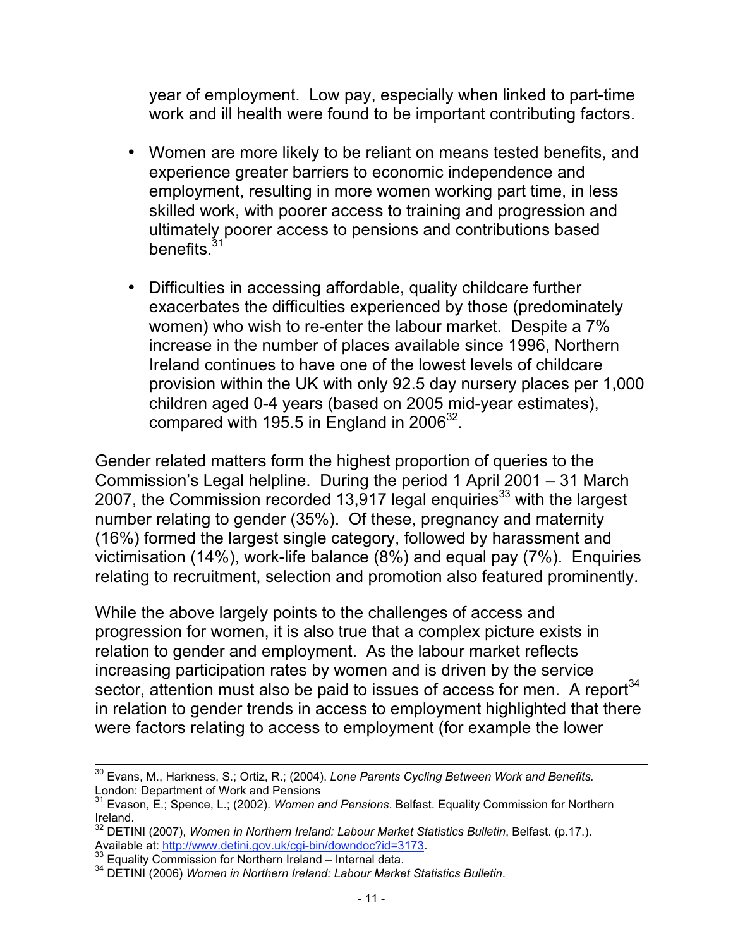year of employment. Low pay, especially when linked to part-time work and ill health were found to be important contributing factors.

- Women are more likely to be reliant on means tested benefits, and experience greater barriers to economic independence and employment, resulting in more women working part time, in less skilled work, with poorer access to training and progression and ultimately poorer access to pensions and contributions based benefits.<sup>31</sup>
- Difficulties in accessing affordable, quality childcare further exacerbates the difficulties experienced by those (predominately women) who wish to re-enter the labour market. Despite a 7% increase in the number of places available since 1996, Northern Ireland continues to have one of the lowest levels of childcare provision within the UK with only 92.5 day nursery places per 1,000 children aged 0-4 years (based on 2005 mid-year estimates), compared with 195.5 in England in  $2006^{32}$ .

Gender related matters form the highest proportion of queries to the Commission's Legal helpline. During the period 1 April 2001 – 31 March 2007, the Commission recorded 13,917 legal enquiries<sup>33</sup> with the largest number relating to gender (35%). Of these, pregnancy and maternity (16%) formed the largest single category, followed by harassment and victimisation (14%), work-life balance (8%) and equal pay (7%). Enquiries relating to recruitment, selection and promotion also featured prominently.

While the above largely points to the challenges of access and progression for women, it is also true that a complex picture exists in relation to gender and employment. As the labour market reflects increasing participation rates by women and is driven by the service sector, attention must also be paid to issues of access for men. A report $34$ in relation to gender trends in access to employment highlighted that there were factors relating to access to employment (for example the lower

 <sup>30</sup> Evans, M., Harkness, S.; Ortiz, R.; (2004). *Lone Parents Cycling Between Work and Benefits.* London: Department of Work and Pensions

<sup>31</sup> Evason, E.; Spence, L.; (2002). *Women and Pensions*. Belfast. Equality Commission for Northern Ireland.

<sup>&</sup>lt;sup>32</sup> DETINI (2007), *Women in Northern Ireland: Labour Market Statistics Bulletin*, Belfast. (p.17.).<br>Available at: http://www.detini.gov.uk/cgi-bin/downdoc?id=3173.<br><sup>33</sup> Equality: Queen Computer 2.

<sup>&</sup>lt;sup>33</sup> Equality Commission for Northern Ireland – Internal data.<br><sup>34</sup> DETINI (2006) *Women in Northern Ireland: Labour Market Statistics Bulletin.*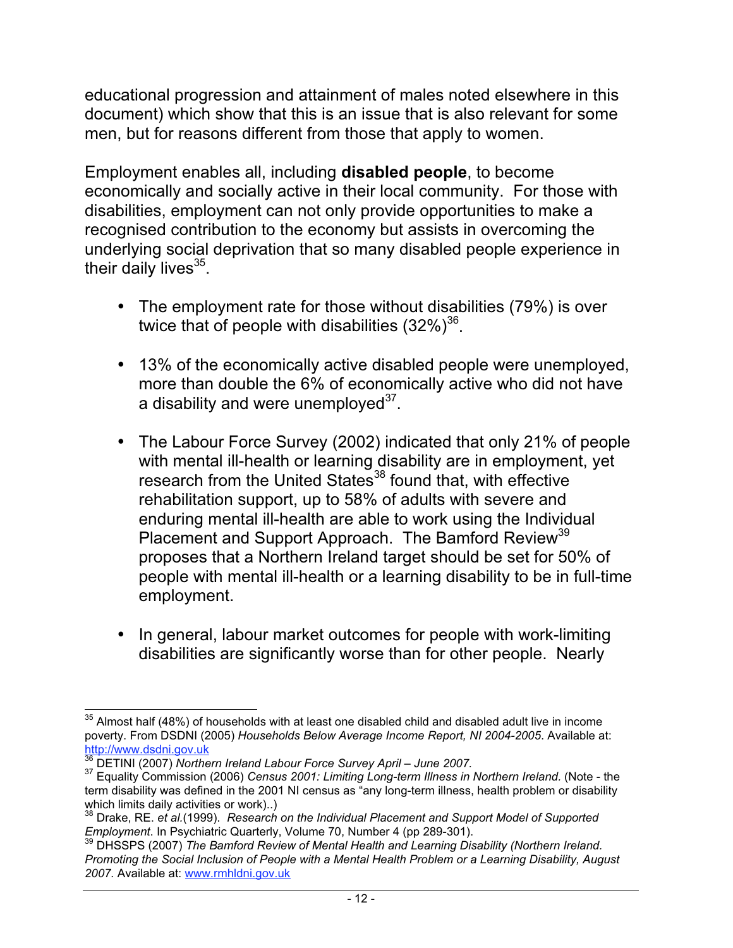educational progression and attainment of males noted elsewhere in this document) which show that this is an issue that is also relevant for some men, but for reasons different from those that apply to women.

Employment enables all, including **disabled people**, to become economically and socially active in their local community. For those with disabilities, employment can not only provide opportunities to make a recognised contribution to the economy but assists in overcoming the underlying social deprivation that so many disabled people experience in their daily lives $35$ .

- The employment rate for those without disabilities (79%) is over twice that of people with disabilities  $(32\%)^{36}$ .
- 13% of the economically active disabled people were unemployed, more than double the 6% of economically active who did not have a disability and were unemployed $3^7$ .
- The Labour Force Survey (2002) indicated that only 21% of people with mental ill-health or learning disability are in employment, yet research from the United States<sup>38</sup> found that, with effective rehabilitation support, up to 58% of adults with severe and enduring mental ill-health are able to work using the Individual Placement and Support Approach. The Bamford Review<sup>39</sup> proposes that a Northern Ireland target should be set for 50% of people with mental ill-health or a learning disability to be in full-time employment.
- In general, labour market outcomes for people with work-limiting disabilities are significantly worse than for other people. Nearly

 $35$  Almost half (48%) of households with at least one disabled child and disabled adult live in income poverty. From DSDNI (2005) *Households Below Average Income Report, NI 2004-2005*. Available at: http://www.dsdni.gov.uk<br><sup>36</sup> DETINI (2007) Northern Ireland Labour Force Survey April – June 2007.

<sup>&</sup>lt;sup>37</sup> Equality Commission (2006) *Census 2001: Limiting Long-term Illness in Northern Ireland.* (Note - the term disability was defined in the 2001 NI census as "any long-term illness, health problem or disability which limits daily activities or work)..)

<sup>&</sup>lt;sup>38</sup> Drake, RE. *et al.*(1999). *Research on the Individual Placement and Support Model of Supported*<br>Employment. In Psychiatric Quarterly, Volume 70, Number 4 (pp 289-301).

<sup>&</sup>lt;sup>39</sup> DHSSPS (2007) The Bamford Review of Mental Health and Learning Disability (Northern Ireland. *Promoting the Social Inclusion of People with a Mental Health Problem or a Learning Disability, August 2007.* Available at: www.rmhldni.gov.uk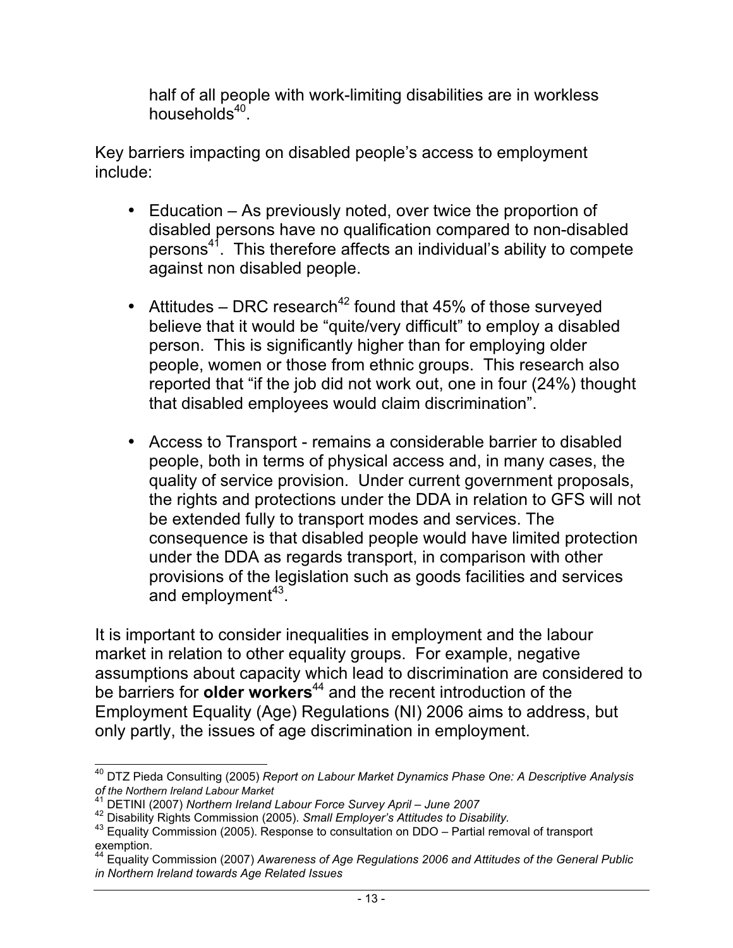half of all people with work-limiting disabilities are in workless households $40$ .

Key barriers impacting on disabled people's access to employment include:

- Education As previously noted, over twice the proportion of disabled persons have no qualification compared to non-disabled persons<sup>41</sup>. This therefore affects an individual's ability to compete against non disabled people.
- Attitudes DRC research<sup>42</sup> found that 45% of those surveyed believe that it would be "quite/very difficult" to employ a disabled person. This is significantly higher than for employing older people, women or those from ethnic groups. This research also reported that "if the job did not work out, one in four (24%) thought that disabled employees would claim discrimination".
- Access to Transport remains a considerable barrier to disabled people, both in terms of physical access and, in many cases, the quality of service provision. Under current government proposals, the rights and protections under the DDA in relation to GFS will not be extended fully to transport modes and services. The consequence is that disabled people would have limited protection under the DDA as regards transport, in comparison with other provisions of the legislation such as goods facilities and services and employment $43$ .

It is important to consider inequalities in employment and the labour market in relation to other equality groups. For example, negative assumptions about capacity which lead to discrimination are considered to be barriers for **older workers**44 and the recent introduction of the Employment Equality (Age) Regulations (NI) 2006 aims to address, but only partly, the issues of age discrimination in employment.

 <sup>40</sup> DTZ Pieda Consulting (2005) *Report on Labour Market Dynamics Phase One: A Descriptive Analysis*

*of the Northern Ireland Labour Market*

<sup>&</sup>lt;sup>42</sup> Disability Rights Commission (2005). Small Employer's Attitudes to Disability.<br><sup>43</sup> Equality Commission (2005). Response to consultation on DDO – Partial removal of transport exemption.

<sup>44</sup> Equality Commission (2007) *Awareness of Age Regulations 2006 and Attitudes of the General Public in Northern Ireland towards Age Related Issues*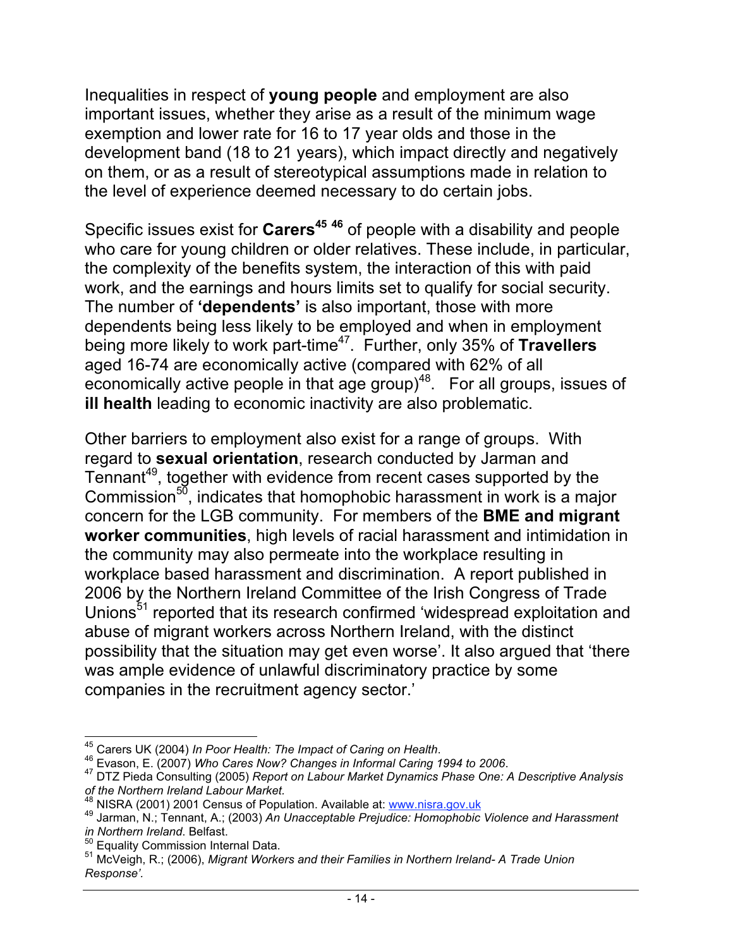Inequalities in respect of **young people** and employment are also important issues, whether they arise as a result of the minimum wage exemption and lower rate for 16 to 17 year olds and those in the development band (18 to 21 years), which impact directly and negatively on them, or as a result of stereotypical assumptions made in relation to the level of experience deemed necessary to do certain jobs.

Specific issues exist for **Carers<sup>45</sup> <sup>46</sup>** of people with a disability and people who care for young children or older relatives. These include, in particular, the complexity of the benefits system, the interaction of this with paid work, and the earnings and hours limits set to qualify for social security. The number of **'dependents'** is also important, those with more dependents being less likely to be employed and when in employment being more likely to work part-time<sup>47</sup>. Further, only 35% of Travellers aged 16-74 are economically active (compared with 62% of all economically active people in that age group)<sup>48</sup>. For all groups, issues of **ill health** leading to economic inactivity are also problematic.

Other barriers to employment also exist for a range of groups. With regard to **sexual orientation**, research conducted by Jarman and Tennant<sup>49</sup>, together with evidence from recent cases supported by the Commission $5\overline{0}$ , indicates that homophobic harassment in work is a major concern for the LGB community. For members of the **BME and migrant worker communities**, high levels of racial harassment and intimidation in the community may also permeate into the workplace resulting in workplace based harassment and discrimination. A report published in 2006 by the Northern Ireland Committee of the Irish Congress of Trade Unions<sup>51</sup> reported that its research confirmed 'widespread exploitation and abuse of migrant workers across Northern Ireland, with the distinct possibility that the situation may get even worse'. It also argued that 'there was ample evidence of unlawful discriminatory practice by some companies in the recruitment agency sector.'

<sup>&</sup>lt;sup>45</sup> Carers UK (2004) *In Poor Health: The Impact of Caring on Health.*<br><sup>46</sup> Evason, E. (2007) *Who Cares Now? Changes in Informal Caring 1994 to 2006.*<br><sup>47</sup> DTZ Pieda Consulting (2005) *Report on Labour Market Dynamics Ph of the Northern Ireland Labour Market.*

<sup>&</sup>lt;sup>49</sup> Jarman, N.; Tennant, A.; (2003) An Unacceptable Prejudice: Homophobic Violence and Harassment *in Northern Ireland*. Belfast.

<sup>&</sup>lt;sup>51</sup> McVeigh, R.; (2006), *Migrant Workers and their Families in Northern Ireland- A Trade Union Response'.*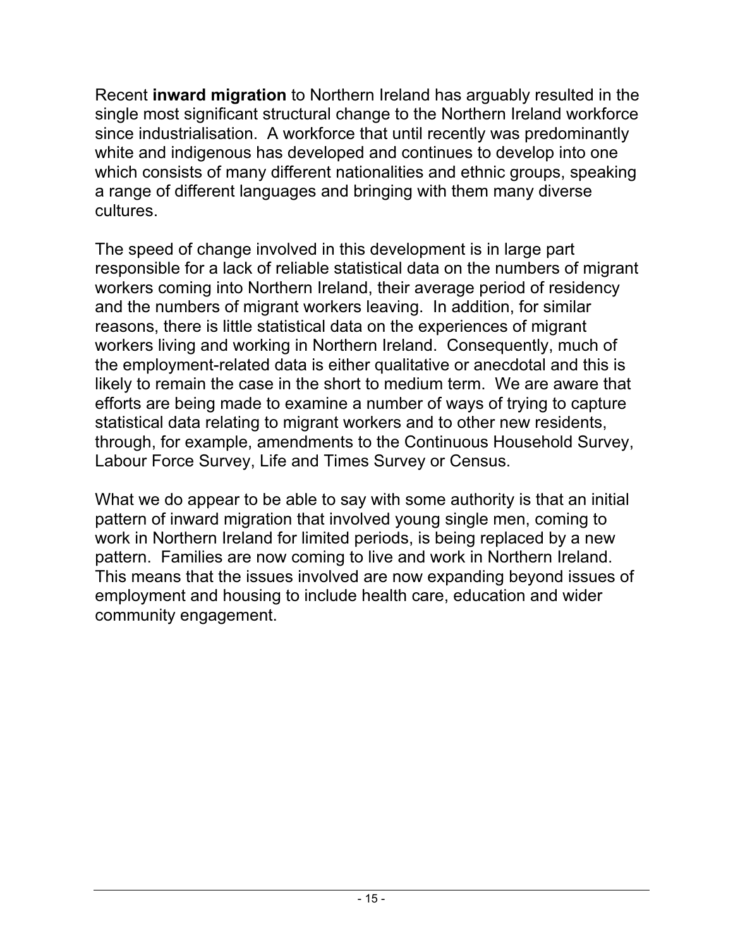Recent **inward migration** to Northern Ireland has arguably resulted in the single most significant structural change to the Northern Ireland workforce since industrialisation. A workforce that until recently was predominantly white and indigenous has developed and continues to develop into one which consists of many different nationalities and ethnic groups, speaking a range of different languages and bringing with them many diverse cultures.

The speed of change involved in this development is in large part responsible for a lack of reliable statistical data on the numbers of migrant workers coming into Northern Ireland, their average period of residency and the numbers of migrant workers leaving. In addition, for similar reasons, there is little statistical data on the experiences of migrant workers living and working in Northern Ireland. Consequently, much of the employment-related data is either qualitative or anecdotal and this is likely to remain the case in the short to medium term. We are aware that efforts are being made to examine a number of ways of trying to capture statistical data relating to migrant workers and to other new residents, through, for example, amendments to the Continuous Household Survey, Labour Force Survey, Life and Times Survey or Census.

What we do appear to be able to say with some authority is that an initial pattern of inward migration that involved young single men, coming to work in Northern Ireland for limited periods, is being replaced by a new pattern. Families are now coming to live and work in Northern Ireland. This means that the issues involved are now expanding beyond issues of employment and housing to include health care, education and wider community engagement.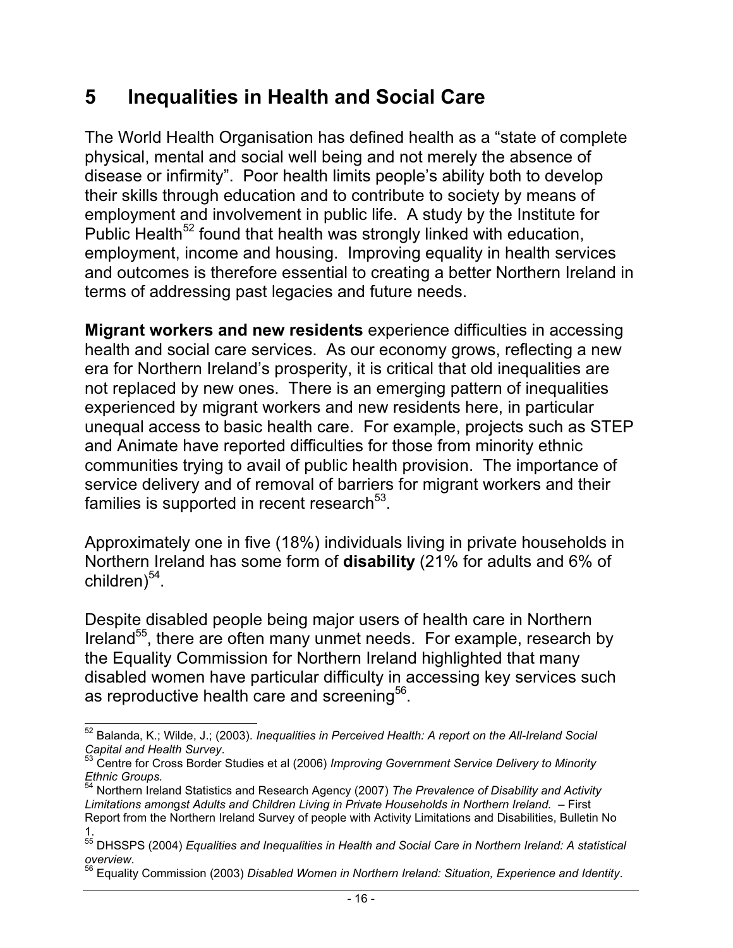#### **5 Inequalities in Health and Social Care**

The World Health Organisation has defined health as a "state of complete physical, mental and social well being and not merely the absence of disease or infirmity". Poor health limits people's ability both to develop their skills through education and to contribute to society by means of employment and involvement in public life. A study by the Institute for Public Health<sup>52</sup> found that health was strongly linked with education, employment, income and housing. Improving equality in health services and outcomes is therefore essential to creating a better Northern Ireland in terms of addressing past legacies and future needs.

**Migrant workers and new residents** experience difficulties in accessing health and social care services. As our economy grows, reflecting a new era for Northern Ireland's prosperity, it is critical that old inequalities are not replaced by new ones. There is an emerging pattern of inequalities experienced by migrant workers and new residents here, in particular unequal access to basic health care. For example, projects such as STEP and Animate have reported difficulties for those from minority ethnic communities trying to avail of public health provision. The importance of service delivery and of removal of barriers for migrant workers and their families is supported in recent research $53$ .

Approximately one in five (18%) individuals living in private households in Northern Ireland has some form of **disability** (21% for adults and 6% of children) $54$ .

Despite disabled people being major users of health care in Northern Ireland<sup>55</sup>, there are often many unmet needs. For example, research by the Equality Commission for Northern Ireland highlighted that many disabled women have particular difficulty in accessing key services such as reproductive health care and screening<sup>56</sup>.

 <sup>52</sup> Balanda, K.; Wilde, J.; (2003). *Inequalities in Perceived Health: A report on the All-Ireland Social*

*Capital and Health Survey*. 53 Centre for Cross Border Studies et al (2006) *Improving Government Service Delivery to Minority Ethnic Groups.*

<sup>54</sup> Northern Ireland Statistics and Research Agency (2007) *The Prevalence of Disability and Activity Limitations amon*g*st Adults and Children Living in Private Households in Northern Ireland.* – First Report from the Northern Ireland Survey of people with Activity Limitations and Disabilities, Bulletin No 1.

<sup>55</sup> DHSSPS (2004) *Equalities and Inequalities in Health and Social Care in Northern Ireland: A statistical*

*overview*. 56 Equality Commission (2003) *Disabled Women in Northern Ireland: Situation, Experience and Identity*.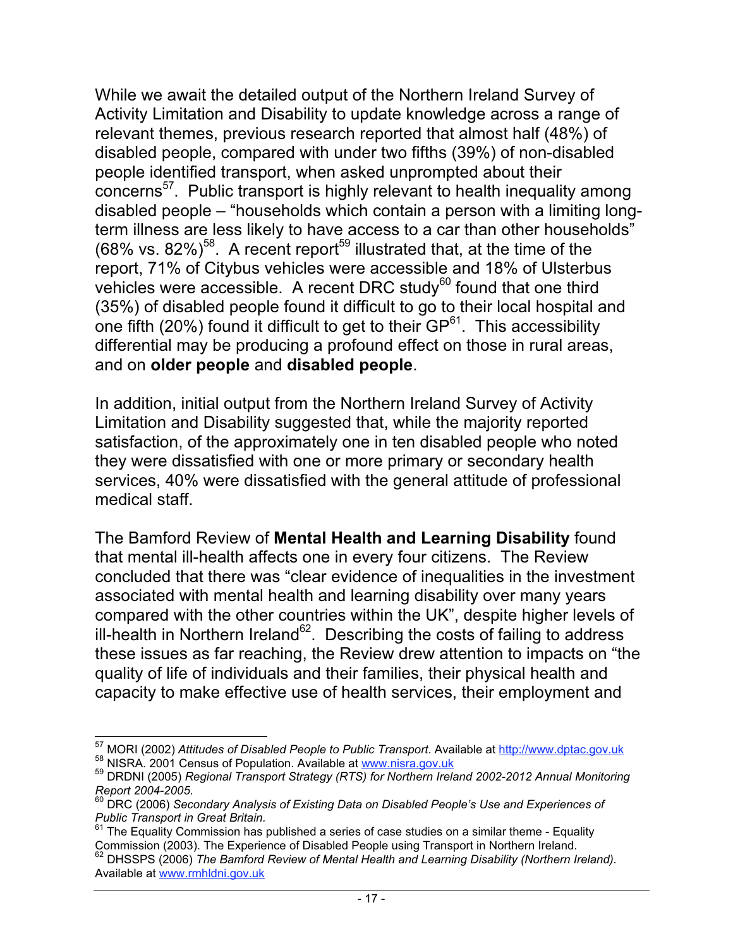While we await the detailed output of the Northern Ireland Survey of Activity Limitation and Disability to update knowledge across a range of relevant themes, previous research reported that almost half (48%) of disabled people, compared with under two fifths (39%) of non-disabled people identified transport, when asked unprompted about their concerns<sup>57</sup>. Public transport is highly relevant to health inequality among disabled people – "households which contain a person with a limiting longterm illness are less likely to have access to a car than other households"  $(68\% \text{ vs. } 82\%)$ <sup>58</sup>. A recent report<sup>59</sup> illustrated that, at the time of the report, 71% of Citybus vehicles were accessible and 18% of Ulsterbus vehicles were accessible. A recent DRC study<sup>60</sup> found that one third (35%) of disabled people found it difficult to go to their local hospital and one fifth (20%) found it difficult to get to their GP<sup>61</sup>. This accessibility differential may be producing a profound effect on those in rural areas, and on **older people** and **disabled people**.

In addition, initial output from the Northern Ireland Survey of Activity Limitation and Disability suggested that, while the majority reported satisfaction, of the approximately one in ten disabled people who noted they were dissatisfied with one or more primary or secondary health services, 40% were dissatisfied with the general attitude of professional medical staff.

The Bamford Review of **Mental Health and Learning Disability** found that mental ill-health affects one in every four citizens. The Review concluded that there was "clear evidence of inequalities in the investment associated with mental health and learning disability over many years compared with the other countries within the UK", despite higher levels of ill-health in Northern Ireland<sup>62</sup>. Describing the costs of failing to address these issues as far reaching, the Review drew attention to impacts on "the quality of life of individuals and their families, their physical health and capacity to make effective use of health services, their employment and

<sup>&</sup>lt;sup>57</sup> MORI (2002) Attitudes of Disabled People to Public Transport. Available at <u>http://www.dptac.gov.uk</u><br><sup>58</sup> NISRA. 2001 Census of Population. Available at www.nisra.gov.uk<br><sup>59</sup> DRDNI (2005) *Regional Transport Strategy* 

*Report 2004-2005*. 60 DRC (2006) *Secondary Analysis of Existing Data on Disabled People's Use and Experiences of*

*Public Transport in Great Britain.*

 $61$  The Equality Commission has published a series of case studies on a similar theme - Equality

Commission (2003). The Experience of Disabled People using Transport in Northern Ireland.<br><sup>62</sup> DHSSPS (2006) *The Bamford Review of Mental Health and Learning Disability (Northern Ireland).* Available at www.rmhldni.gov.uk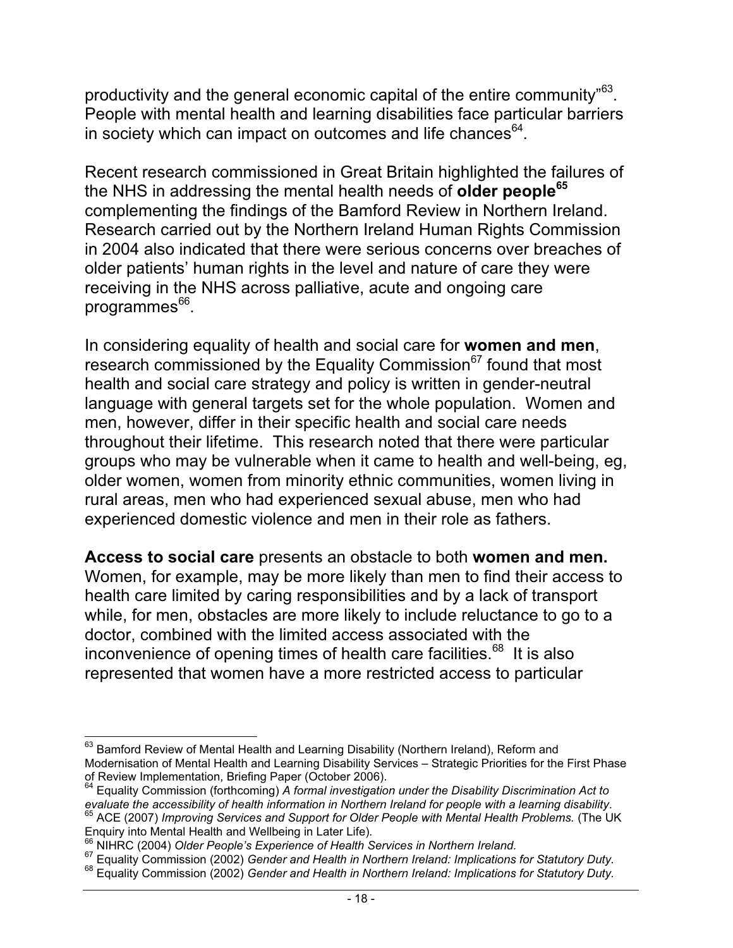productivity and the general economic capital of the entire community<sup>"63</sup>. People with mental health and learning disabilities face particular barriers in society which can impact on outcomes and life chances $64$ .

Recent research commissioned in Great Britain highlighted the failures of the NHS in addressing the mental health needs of **older people65** complementing the findings of the Bamford Review in Northern Ireland. Research carried out by the Northern Ireland Human Rights Commission in 2004 also indicated that there were serious concerns over breaches of older patients' human rights in the level and nature of care they were receiving in the NHS across palliative, acute and ongoing care programmes $^{66}$ .

In considering equality of health and social care for **women and men**, research commissioned by the Equality Commission $^{67}$  found that most health and social care strategy and policy is written in gender-neutral language with general targets set for the whole population. Women and men, however, differ in their specific health and social care needs throughout their lifetime. This research noted that there were particular groups who may be vulnerable when it came to health and well-being, eg, older women, women from minority ethnic communities, women living in rural areas, men who had experienced sexual abuse, men who had experienced domestic violence and men in their role as fathers.

**Access to social care** presents an obstacle to both **women and men.** Women, for example, may be more likely than men to find their access to health care limited by caring responsibilities and by a lack of transport while, for men, obstacles are more likely to include reluctance to go to a doctor, combined with the limited access associated with the inconvenience of opening times of health care facilities.<sup>68</sup> It is also represented that women have a more restricted access to particular

<sup>&</sup>lt;sup>63</sup> Bamford Review of Mental Health and Learning Disability (Northern Ireland), Reform and Modernisation of Mental Health and Learning Disability Services – Strategic Priorities for the First Phase of Review Implementation, Briefing Paper (October 2006).

<sup>64</sup> Equality Commission (forthcoming) *A formal investigation under the Disability Discrimination Act to*

*evaluate the accessibility of health information in Northern Ireland for people with a learning disability.*<br><sup>65</sup> ACE (2007) *Improving Services and Support for Older People with Mental Health Problems.* (The UK<br>Enguiry i

<sup>&</sup>lt;sup>66</sup> NIHRC (2004) Older People's Experience of Health Services in Northern Ireland.<br><sup>67</sup> Equality Commission (2002) Gender and Health in Northern Ireland: Implications for Statutory Duty.<br><sup>68</sup> Equality Commission (2002) G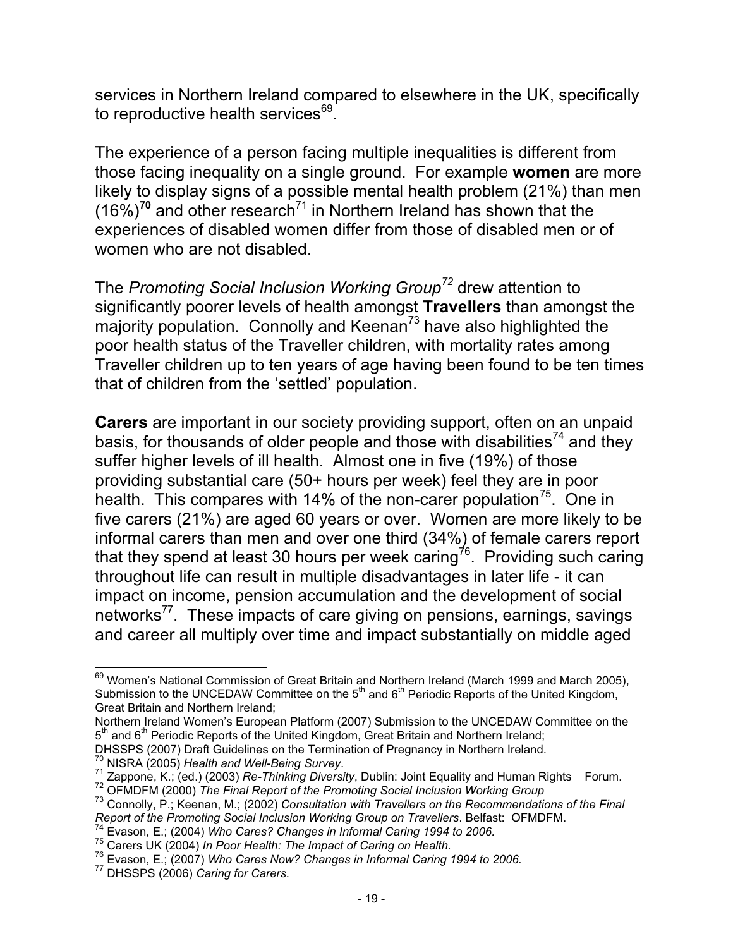services in Northern Ireland compared to elsewhere in the UK, specifically to reproductive health services<sup>69</sup>.

The experience of a person facing multiple inequalities is different from those facing inequality on a single ground. For example **women** are more likely to display signs of a possible mental health problem (21%) than men (16%)**<sup>70</sup>** and other research71 in Northern Ireland has shown that the experiences of disabled women differ from those of disabled men or of women who are not disabled.

The *Promoting Social Inclusion Working Group<sup>72</sup>* drew attention to significantly poorer levels of health amongst **Travellers** than amongst the majority population. Connolly and Keenan<sup>73</sup> have also highlighted the poor health status of the Traveller children, with mortality rates among Traveller children up to ten years of age having been found to be ten times that of children from the 'settled' population.

**Carers** are important in our society providing support, often on an unpaid basis, for thousands of older people and those with disabilities<sup>74</sup> and they suffer higher levels of ill health. Almost one in five (19%) of those providing substantial care (50+ hours per week) feel they are in poor health. This compares with 14% of the non-carer population<sup>75</sup>. One in five carers (21%) are aged 60 years or over. Women are more likely to be informal carers than men and over one third (34%) of female carers report that they spend at least 30 hours per week caring<sup>76</sup>. Providing such caring throughout life can result in multiple disadvantages in later life - it can impact on income, pension accumulation and the development of social networks<sup>77</sup>. These impacts of care giving on pensions, earnings, savings and career all multiply over time and impact substantially on middle aged

<sup>&</sup>lt;sup>69</sup> Women's National Commission of Great Britain and Northern Ireland (March 1999 and March 2005), Submission to the UNCEDAW Committee on the  $5<sup>th</sup>$  and  $6<sup>th</sup>$  Periodic Reports of the United Kingdom, Great Britain and Northern Ireland;

Northern Ireland Women's European Platform (2007) Submission to the UNCEDAW Committee on the  $5<sup>th</sup>$  and  $6<sup>th</sup>$  Periodic Reports of the United Kingdom, Great Britain and Northern Ireland;

DHSSPS (2007) Draft Guidelines on the Termination of Pregnancy in Northern Ireland.<br><sup>70</sup> NISRA (2005) Health and Well-Being Survey.

<sup>&</sup>lt;sup>71</sup> Zappone, K.; (ed.) (2003) Re-Thinking Diversity, Dublin: Joint Equality and Human Rights Forum.<br><sup>72</sup> OFMDFM (2000) *The Final Report of the Promoting Social Inclusion Working Group*<br><sup>73</sup> Connolly, P.; Keenan, M.; (20

*Report of the Promoting Social Inclusion Working Group on Travellers*. Belfast: OFMDFM.<br><sup>74</sup> Evason, E.; (2004) Who Cares? Changes in Informal Caring 1994 to 2006.

<sup>&</sup>lt;sup>75</sup> Carers UK (2004) In Poor Health: The Impact of Caring on Health.<br><sup>76</sup> Evason, E.; (2007) Who Cares Now? Changes in Informal Caring 1994 to 2006.<br><sup>77</sup> DHSSPS (2006) Caring for Carers.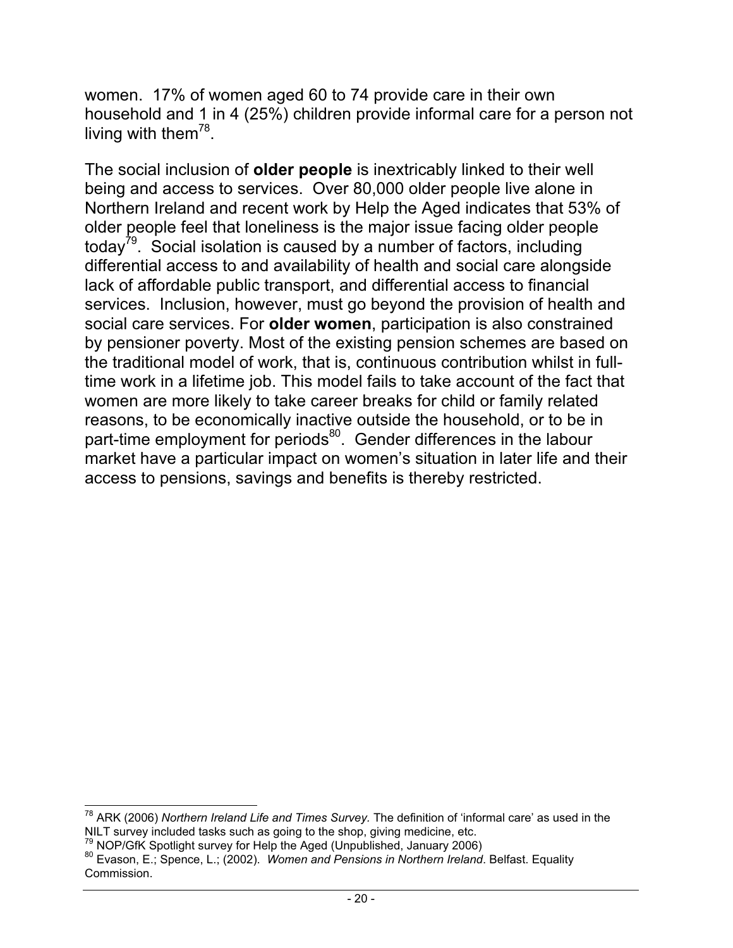women. 17% of women aged 60 to 74 provide care in their own household and 1 in 4 (25%) children provide informal care for a person not living with them<sup>78</sup>.

The social inclusion of **older people** is inextricably linked to their well being and access to services. Over 80,000 older people live alone in Northern Ireland and recent work by Help the Aged indicates that 53% of older people feel that loneliness is the major issue facing older people today<sup>79</sup>. Social isolation is caused by a number of factors, including differential access to and availability of health and social care alongside lack of affordable public transport, and differential access to financial services. Inclusion, however, must go beyond the provision of health and social care services. For **older women**, participation is also constrained by pensioner poverty. Most of the existing pension schemes are based on the traditional model of work, that is, continuous contribution whilst in fulltime work in a lifetime job. This model fails to take account of the fact that women are more likely to take career breaks for child or family related reasons, to be economically inactive outside the household, or to be in part-time employment for periods<sup>80</sup>. Gender differences in the labour market have a particular impact on women's situation in later life and their access to pensions, savings and benefits is thereby restricted.

 <sup>78</sup> ARK (2006) *Northern Ireland Life and Times Survey.* The definition of 'informal care' as used in the NILT survey included tasks such as going to the shop, giving medicine, etc.  $^{79}$  NOP/GfK Spotlight survey for Help the Aged (Unpublished, January 2006)

<sup>&</sup>lt;sup>80</sup> Evason, E.; Spence, L.; (2002). *Women and Pensions in Northern Ireland.* Belfast. Equality Commission.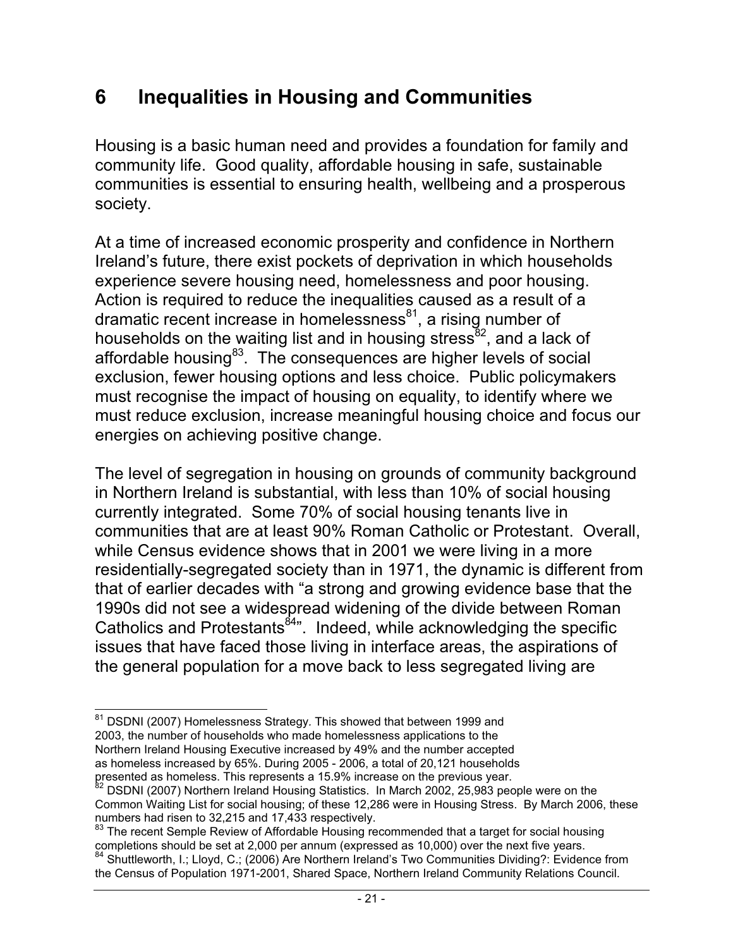#### **6 Inequalities in Housing and Communities**

Housing is a basic human need and provides a foundation for family and community life. Good quality, affordable housing in safe, sustainable communities is essential to ensuring health, wellbeing and a prosperous society.

At a time of increased economic prosperity and confidence in Northern Ireland's future, there exist pockets of deprivation in which households experience severe housing need, homelessness and poor housing. Action is required to reduce the inequalities caused as a result of a dramatic recent increase in homelessness $^{81}$ , a rising number of households on the waiting list and in housing stress $^{82}$ , and a lack of affordable housing<sup>83</sup>. The consequences are higher levels of social exclusion, fewer housing options and less choice. Public policymakers must recognise the impact of housing on equality, to identify where we must reduce exclusion, increase meaningful housing choice and focus our energies on achieving positive change.

The level of segregation in housing on grounds of community background in Northern Ireland is substantial, with less than 10% of social housing currently integrated. Some 70% of social housing tenants live in communities that are at least 90% Roman Catholic or Protestant. Overall, while Census evidence shows that in 2001 we were living in a more residentially-segregated society than in 1971, the dynamic is different from that of earlier decades with "a strong and growing evidence base that the 1990s did not see a widespread widening of the divide between Roman Catholics and Protestants<sup>84</sup>". Indeed, while acknowledging the specific issues that have faced those living in interface areas, the aspirations of the general population for a move back to less segregated living are

 <sup>81</sup> DSDNI (2007) Homelessness Strategy*.* This showed that between 1999 and 2003, the number of households who made homelessness applications to the Northern Ireland Housing Executive increased by 49% and the number accepted as homeless increased by 65%. During 2005 - 2006, a total of 20,121 households presented as homeless. This represents a 15.9% increase on the previous year.

<sup>&</sup>lt;sup>82</sup> DSDNI (2007) Northern Ireland Housing Statistics. In March 2002, 25,983 people were on the Common Waiting List for social housing; of these 12,286 were in Housing Stress. By March 2006, these numbers had risen to 32,215 and 17,433 respectively.

 $83$  The recent Semple Review of Affordable Housing recommended that a target for social housing completions should be set at 2,000 per annum (expressed as 10,000) over the next five years.

<sup>&</sup>lt;sup>84</sup> Shuttleworth, I.; Lloyd, C.; (2006) Are Northern Ireland's Two Communities Dividing?: Evidence from the Census of Population 1971-2001, Shared Space, Northern Ireland Community Relations Council.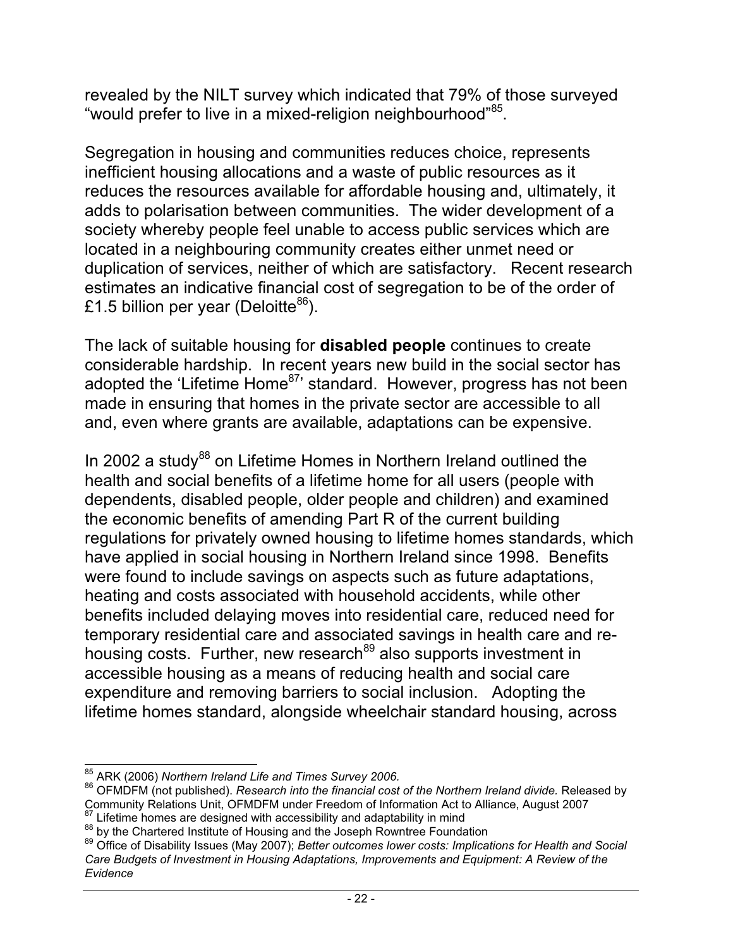revealed by the NILT survey which indicated that 79% of those surveyed "would prefer to live in a mixed-religion neighbourhood"<sup>85</sup>.

Segregation in housing and communities reduces choice, represents inefficient housing allocations and a waste of public resources as it reduces the resources available for affordable housing and, ultimately, it adds to polarisation between communities. The wider development of a society whereby people feel unable to access public services which are located in a neighbouring community creates either unmet need or duplication of services, neither of which are satisfactory. Recent research estimates an indicative financial cost of segregation to be of the order of £1.5 billion per year (Deloitte $86$ ).

The lack of suitable housing for **disabled people** continues to create considerable hardship. In recent years new build in the social sector has adopted the 'Lifetime Home<sup>87</sup>' standard. However, progress has not been made in ensuring that homes in the private sector are accessible to all and, even where grants are available, adaptations can be expensive.

In 2002 a study<sup>88</sup> on Lifetime Homes in Northern Ireland outlined the health and social benefits of a lifetime home for all users (people with dependents, disabled people, older people and children) and examined the economic benefits of amending Part R of the current building regulations for privately owned housing to lifetime homes standards, which have applied in social housing in Northern Ireland since 1998. Benefits were found to include savings on aspects such as future adaptations, heating and costs associated with household accidents, while other benefits included delaying moves into residential care, reduced need for temporary residential care and associated savings in health care and rehousing costs. Further, new research<sup>89</sup> also supports investment in accessible housing as a means of reducing health and social care expenditure and removing barriers to social inclusion. Adopting the lifetime homes standard, alongside wheelchair standard housing, across

<sup>&</sup>lt;sup>85</sup> ARK (2006) *Northern Ireland Life and Times Survey 2006.*<br><sup>86</sup> OFMDFM (not published). *Research into the financial cost of the Northern Ireland divide. Released by* Community Relations Unit, OFMDFM under Freedom of Information Act to Alliance, August 2007<br><sup>87</sup> Lifetime homes are designed with accessibility and adaptability in mind

<sup>88</sup> by the Chartered Institute of Housing and the Joseph Rowntree Foundation<br>89 Office of Disability Issues (May 2007); Better outcomes lower costs: Implications for Health and Social *Care Budgets of Investment in Housing Adaptations, Improvements and Equipment: A Review of the Evidence*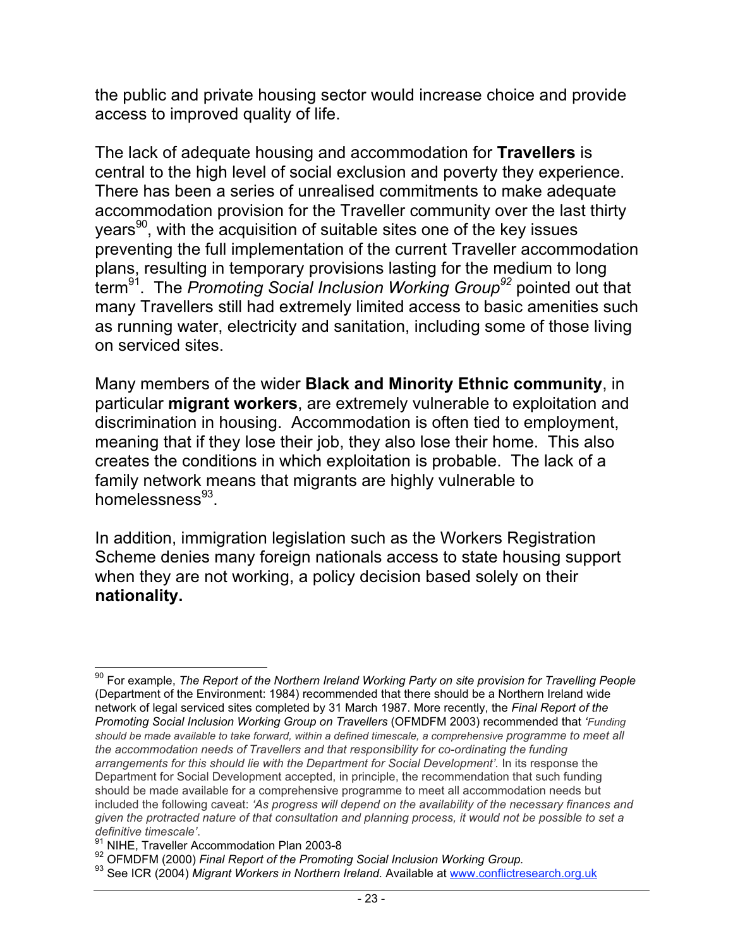the public and private housing sector would increase choice and provide access to improved quality of life.

The lack of adequate housing and accommodation for **Travellers** is central to the high level of social exclusion and poverty they experience. There has been a series of unrealised commitments to make adequate accommodation provision for the Traveller community over the last thirty  $years<sup>90</sup>$ , with the acquisition of suitable sites one of the key issues preventing the full implementation of the current Traveller accommodation plans, resulting in temporary provisions lasting for the medium to long term91. The *Promoting Social Inclusion Working Group<sup>92</sup>* pointed out that many Travellers still had extremely limited access to basic amenities such as running water, electricity and sanitation, including some of those living on serviced sites.

Many members of the wider **Black and Minority Ethnic community**, in particular **migrant workers**, are extremely vulnerable to exploitation and discrimination in housing. Accommodation is often tied to employment, meaning that if they lose their job, they also lose their home. This also creates the conditions in which exploitation is probable. The lack of a family network means that migrants are highly vulnerable to homelessness $93$ .

In addition, immigration legislation such as the Workers Registration Scheme denies many foreign nationals access to state housing support when they are not working, a policy decision based solely on their **nationality.**

 <sup>90</sup> For example, *The Report of the Northern Ireland Working Party on site provision for Travelling People* (Department of the Environment: 1984) recommended that there should be a Northern Ireland wide network of legal serviced sites completed by 31 March 1987. More recently, the *Final Report of the Promoting Social Inclusion Working Group on Travellers* (OFMDFM 2003) recommended that *'Funding should be made available to take forward, within a defined timescale, a comprehensive programme to meet all the accommodation needs of Travellers and that responsibility for co-ordinating the funding arrangements for this should lie with the Department for Social Development'.* In its response the Department for Social Development accepted, in principle, the recommendation that such funding should be made available for a comprehensive programme to meet all accommodation needs but included the following caveat: *'As progress will depend on the availability of the necessary finances and given the protracted nature of that consultation and planning process, it would not be possible to set a*

*definitive timescale'.*<br><sup>91</sup> NIHE, Traveller Accommodation Plan 2003-8<br><sup>92</sup> OFMDFM (2000) *Final Report of the Promoting Social Inclusion Working Group.* 

<sup>&</sup>lt;sup>93</sup> See ICR (2004) *Migrant Workers in Northern Ireland.* Available at www.conflictresearch.org.uk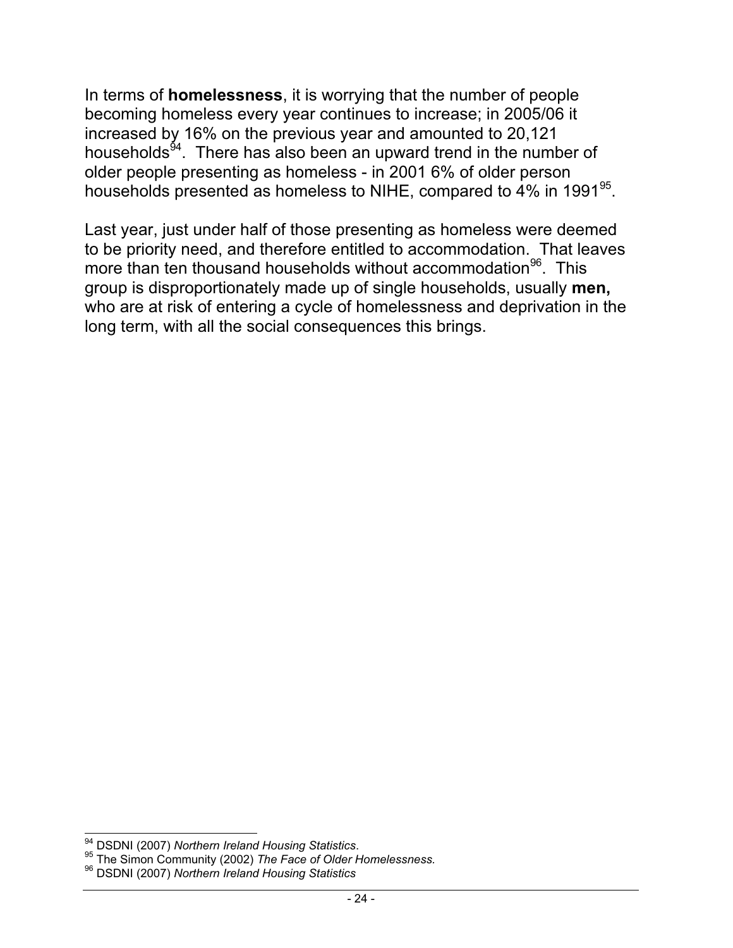In terms of **homelessness**, it is worrying that the number of people becoming homeless every year continues to increase; in 2005/06 it increased by 16% on the previous year and amounted to 20,121 households<sup>94</sup>. There has also been an upward trend in the number of older people presenting as homeless - in 2001 6% of older person households presented as homeless to NIHE, compared to 4% in 1991<sup>95</sup>.

Last year, just under half of those presenting as homeless were deemed to be priority need, and therefore entitled to accommodation. That leaves more than ten thousand households without accommodation<sup>96</sup>. This group is disproportionately made up of single households, usually **men,** who are at risk of entering a cycle of homelessness and deprivation in the long term, with all the social consequences this brings.

<sup>&</sup>lt;sup>94</sup> DSDNI (2007) *Northern Ireland Housing Statistics.*<br><sup>95</sup> The Simon Community (2002) *The Face of Older Homelessness.* 

<sup>96</sup> DSDNI (2007) *Northern Ireland Housing Statistics*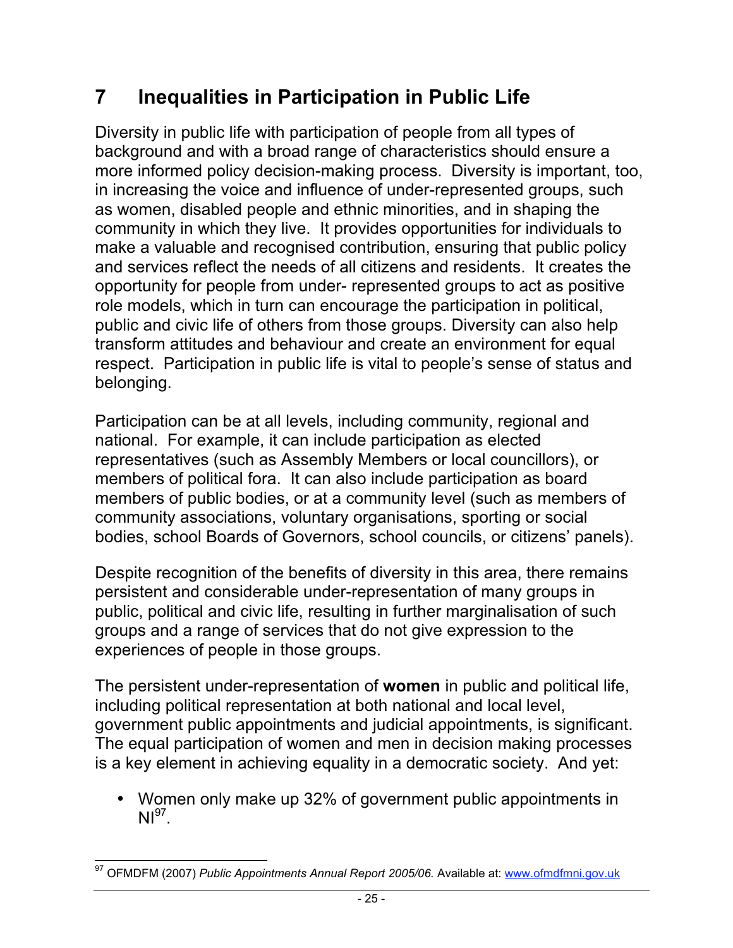#### **7 Inequalities in Participation in Public Life**

Diversity in public life with participation of people from all types of background and with a broad range of characteristics should ensure a more informed policy decision-making process. Diversity is important, too, in increasing the voice and influence of under-represented groups, such as women, disabled people and ethnic minorities, and in shaping the community in which they live. It provides opportunities for individuals to make a valuable and recognised contribution, ensuring that public policy and services reflect the needs of all citizens and residents. It creates the opportunity for people from under- represented groups to act as positive role models, which in turn can encourage the participation in political, public and civic life of others from those groups. Diversity can also help transform attitudes and behaviour and create an environment for equal respect. Participation in public life is vital to people's sense of status and belonging.

Participation can be at all levels, including community, regional and national. For example, it can include participation as elected representatives (such as Assembly Members or local councillors), or members of political fora. It can also include participation as board members of public bodies, or at a community level (such as members of community associations, voluntary organisations, sporting or social bodies, school Boards of Governors, school councils, or citizens' panels).

Despite recognition of the benefits of diversity in this area, there remains persistent and considerable under-representation of many groups in public, political and civic life, resulting in further marginalisation of such groups and a range of services that do not give expression to the experiences of people in those groups.

The persistent under-representation of **women** in public and political life, including political representation at both national and local level, government public appointments and judicial appointments, is significant. The equal participation of women and men in decision making processes is a key element in achieving equality in a democratic society. And yet:

• Women only make up 32% of government public appointments in  $NI<sup>97</sup>$ 

 <sup>97</sup> OFMDFM (2007) *Public Appointments Annual Report 2005/06.* Available at: www.ofmdfmni.gov.uk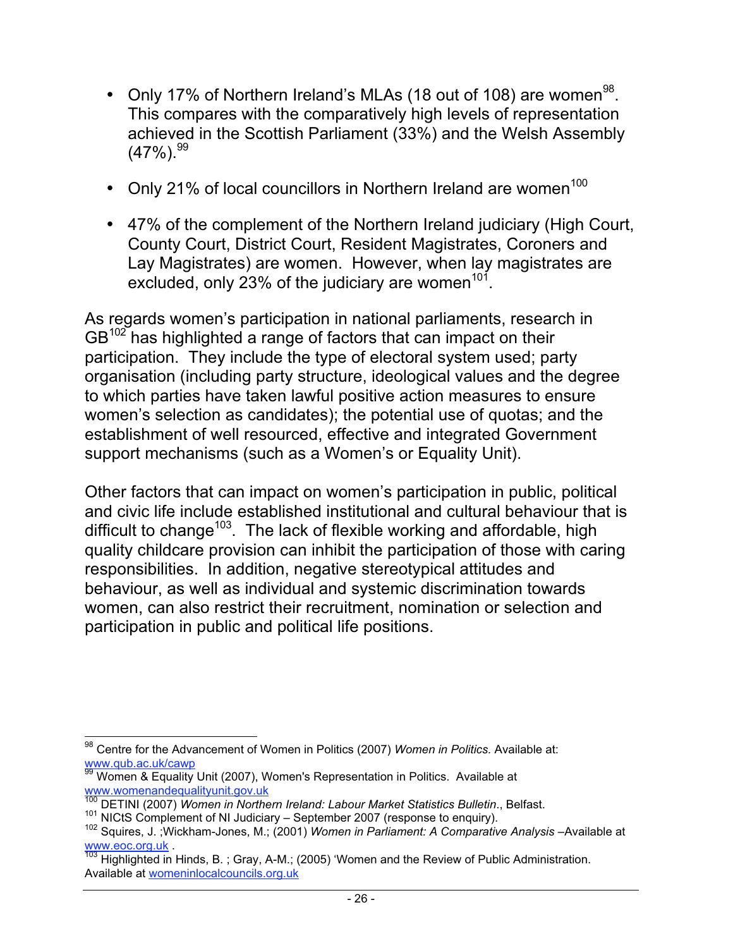- Only 17% of Northern Ireland's MLAs (18 out of 108) are women<sup>98</sup>. This compares with the comparatively high levels of representation achieved in the Scottish Parliament (33%) and the Welsh Assembly  $(47\%)$ .  $^{99}$
- Only 21% of local councillors in Northern Ireland are women $100$
- 47% of the complement of the Northern Ireland judiciary (High Court, County Court, District Court, Resident Magistrates, Coroners and Lay Magistrates) are women. However, when lay magistrates are excluded, only 23% of the judiciary are women<sup>101</sup>.

As regards women's participation in national parliaments, research in GB<sup>102</sup> has highlighted a range of factors that can impact on their participation. They include the type of electoral system used; party organisation (including party structure, ideological values and the degree to which parties have taken lawful positive action measures to ensure women's selection as candidates); the potential use of quotas; and the establishment of well resourced, effective and integrated Government support mechanisms (such as a Women's or Equality Unit).

Other factors that can impact on women's participation in public, political and civic life include established institutional and cultural behaviour that is difficult to change<sup>103</sup>. The lack of flexible working and affordable, high quality childcare provision can inhibit the participation of those with caring responsibilities. In addition, negative stereotypical attitudes and behaviour, as well as individual and systemic discrimination towards women, can also restrict their recruitment, nomination or selection and participation in public and political life positions.

 <sup>98</sup> Centre for the Advancement of Women in Politics (2007) *Women in Politics.* Available at: www.qub.ac.uk/cawp

www.qub.do.dnoctric<br><sup>99</sup> Women & Equality Unit (2007), Women's Representation in Politics. Available at www.womenandequalityunit.gov.uk

<sup>100</sup> DETINI (2007) *Women in Northern Ireland: Labour Market Statistics Bulletin*., Belfast.

<sup>&</sup>lt;sup>101</sup> NICtS Complement of NI Judiciary – September 2007 (response to enquiry).<br><sup>102</sup> Squires, J. ;Wickham-Jones, M.; (2001) *Women in Parliament: A Comparative Analysis* –Available at<br>www.eoc.org.uk

 $\frac{103}{103}$  Highlighted in Hinds, B.; Gray, A-M.; (2005) 'Women and the Review of Public Administration. Available at womeninlocalcouncils.org.uk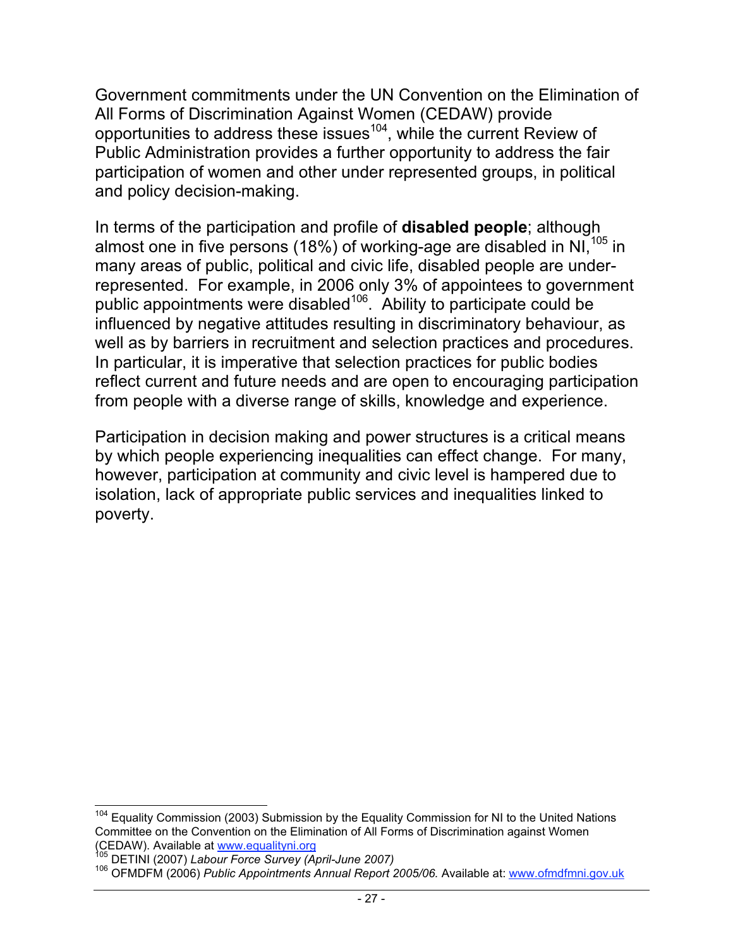Government commitments under the UN Convention on the Elimination of All Forms of Discrimination Against Women (CEDAW) provide opportunities to address these issues<sup>104</sup>, while the current Review of Public Administration provides a further opportunity to address the fair participation of women and other under represented groups, in political and policy decision-making.

In terms of the participation and profile of **disabled people**; although almost one in five persons (18%) of working-age are disabled in NI $,^{105}$  in many areas of public, political and civic life, disabled people are underrepresented. For example, in 2006 only 3% of appointees to government public appointments were disabled<sup>106</sup>. Ability to participate could be influenced by negative attitudes resulting in discriminatory behaviour, as well as by barriers in recruitment and selection practices and procedures. In particular, it is imperative that selection practices for public bodies reflect current and future needs and are open to encouraging participation from people with a diverse range of skills, knowledge and experience.

Participation in decision making and power structures is a critical means by which people experiencing inequalities can effect change. For many, however, participation at community and civic level is hampered due to isolation, lack of appropriate public services and inequalities linked to poverty.

<sup>&</sup>lt;sup>104</sup> Equality Commission (2003) Submission by the Equality Commission for NI to the United Nations Committee on the Convention on the Elimination of All Forms of Discrimination against Women<br>(CEDAW). Available at www.equalityni.org<br><sup>105</sup> DETINI (2007).

<sup>&</sup>lt;sup>105</sup> DETINI (2007) Labour Force Survey (April-June 2007)<br><sup>106</sup> OFMDFM (2006) *Public Appointments Annual Report 2005/06.* Available at: www.ofmdfmni.gov.uk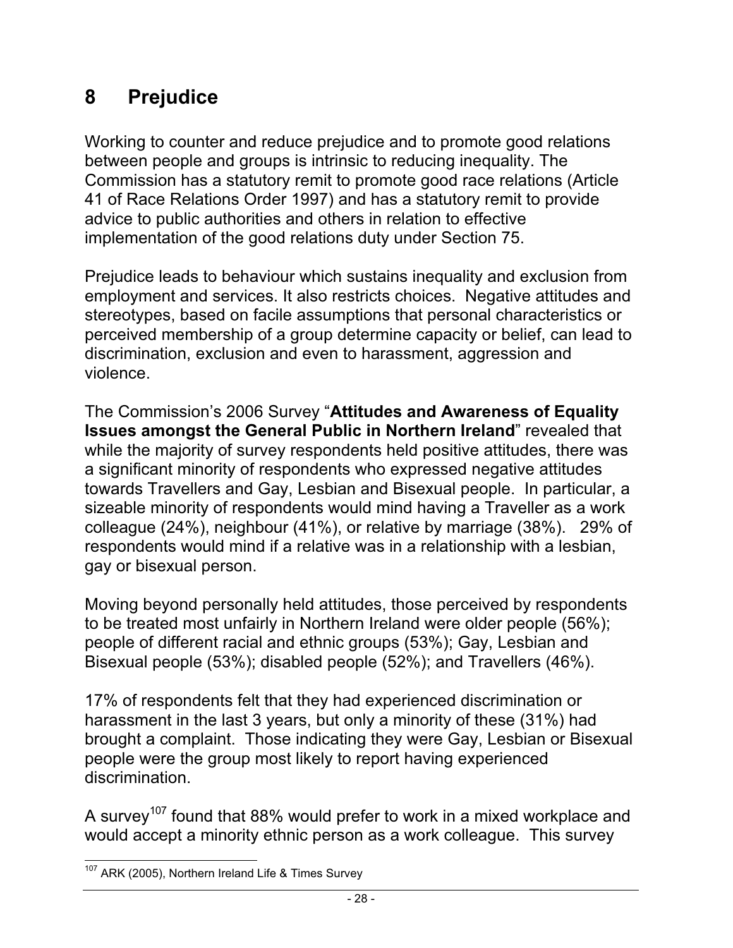#### **8 Prejudice**

Working to counter and reduce prejudice and to promote good relations between people and groups is intrinsic to reducing inequality. The Commission has a statutory remit to promote good race relations (Article 41 of Race Relations Order 1997) and has a statutory remit to provide advice to public authorities and others in relation to effective implementation of the good relations duty under Section 75.

Prejudice leads to behaviour which sustains inequality and exclusion from employment and services. It also restricts choices. Negative attitudes and stereotypes, based on facile assumptions that personal characteristics or perceived membership of a group determine capacity or belief, can lead to discrimination, exclusion and even to harassment, aggression and violence.

The Commission's 2006 Survey "**Attitudes and Awareness of Equality Issues amongst the General Public in Northern Ireland**" revealed that while the majority of survey respondents held positive attitudes, there was a significant minority of respondents who expressed negative attitudes towards Travellers and Gay, Lesbian and Bisexual people. In particular, a sizeable minority of respondents would mind having a Traveller as a work colleague (24%), neighbour (41%), or relative by marriage (38%). 29% of respondents would mind if a relative was in a relationship with a lesbian, gay or bisexual person.

Moving beyond personally held attitudes, those perceived by respondents to be treated most unfairly in Northern Ireland were older people (56%); people of different racial and ethnic groups (53%); Gay, Lesbian and Bisexual people (53%); disabled people (52%); and Travellers (46%).

17% of respondents felt that they had experienced discrimination or harassment in the last 3 years, but only a minority of these (31%) had brought a complaint. Those indicating they were Gay, Lesbian or Bisexual people were the group most likely to report having experienced discrimination.

A survey<sup>107</sup> found that 88% would prefer to work in a mixed workplace and would accept a minority ethnic person as a work colleague. This survey

<sup>&</sup>lt;sup>107</sup> ARK (2005), Northern Ireland Life & Times Survey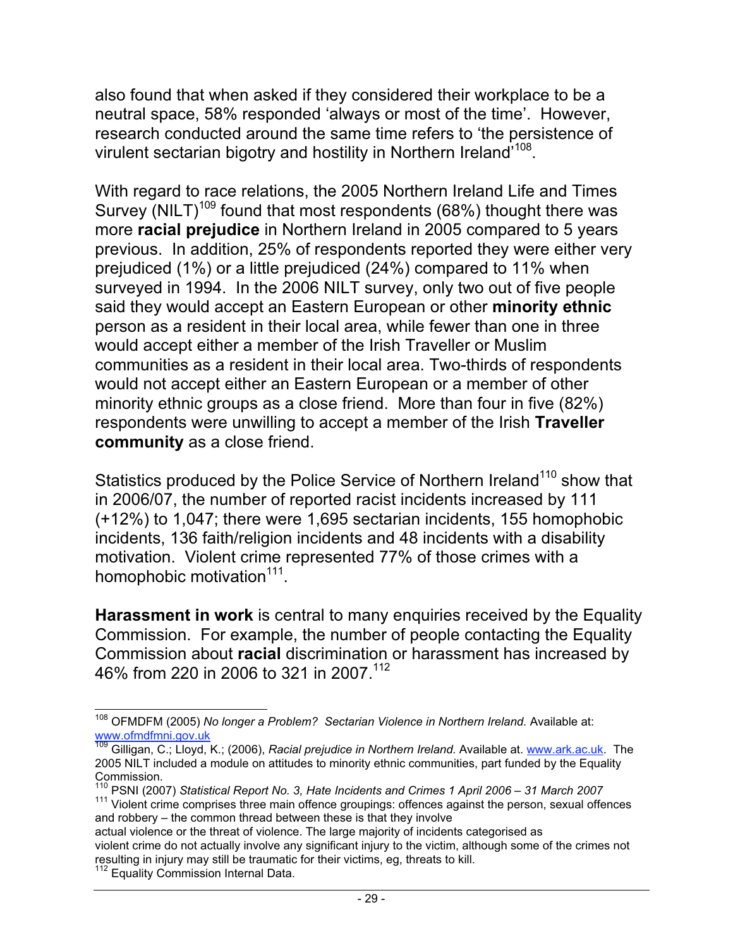also found that when asked if they considered their workplace to be a neutral space, 58% responded 'always or most of the time'. However, research conducted around the same time refers to 'the persistence of virulent sectarian bigotry and hostility in Northern Ireland<sup>'108</sup>.

With regard to race relations, the 2005 Northern Ireland Life and Times Survey (NILT)<sup>109</sup> found that most respondents (68%) thought there was more **racial prejudice** in Northern Ireland in 2005 compared to 5 years previous. In addition, 25% of respondents reported they were either very prejudiced (1%) or a little prejudiced (24%) compared to 11% when surveyed in 1994. In the 2006 NILT survey, only two out of five people said they would accept an Eastern European or other **minority ethnic** person as a resident in their local area, while fewer than one in three would accept either a member of the Irish Traveller or Muslim communities as a resident in their local area. Two-thirds of respondents would not accept either an Eastern European or a member of other minority ethnic groups as a close friend. More than four in five (82%) respondents were unwilling to accept a member of the Irish **Traveller community** as a close friend.

Statistics produced by the Police Service of Northern Ireland<sup>110</sup> show that in 2006/07, the number of reported racist incidents increased by 111 (+12%) to 1,047; there were 1,695 sectarian incidents, 155 homophobic incidents, 136 faith/religion incidents and 48 incidents with a disability motivation. Violent crime represented 77% of those crimes with a homophobic motivation<sup>111</sup>.

**Harassment in work** is central to many enquiries received by the Equality Commission. For example, the number of people contacting the Equality Commission about **racial** discrimination or harassment has increased by 46% from 220 in 2006 to 321 in 2007.112

 <sup>108</sup> OFMDFM (2005) *No longer a Problem? Sectarian Violence in Northern Ireland.* Available at: www.ofmdfmni.gov.uk

<sup>&</sup>lt;sup>109</sup> Gilligan, C.; Lloyd, K.; (2006), *Racial prejudice in Northern Ireland.* Available at. <u>www.ark.ac.uk</u>. The 2005 NILT included a module on attitudes to minority ethnic communities, part funded by the Equality Commission.

<sup>&</sup>lt;sup>110</sup> PSNI (2007) *Statistical Report No. 3, Hate Incidents and Crimes 1 April 2006 – 31 March 2007*<br><sup>111</sup> Violent crime comprises three main offence groupings: offences against the person, sexual offences and robbery – the common thread between these is that they involve

actual violence or the threat of violence. The large majority of incidents categorised as violent crime do not actually involve any significant injury to the victim, although some of the crimes not resulting in injury may still be traumatic for their victims, eg, threats to kill.

<sup>&</sup>lt;sup>112</sup> Equality Commission Internal Data.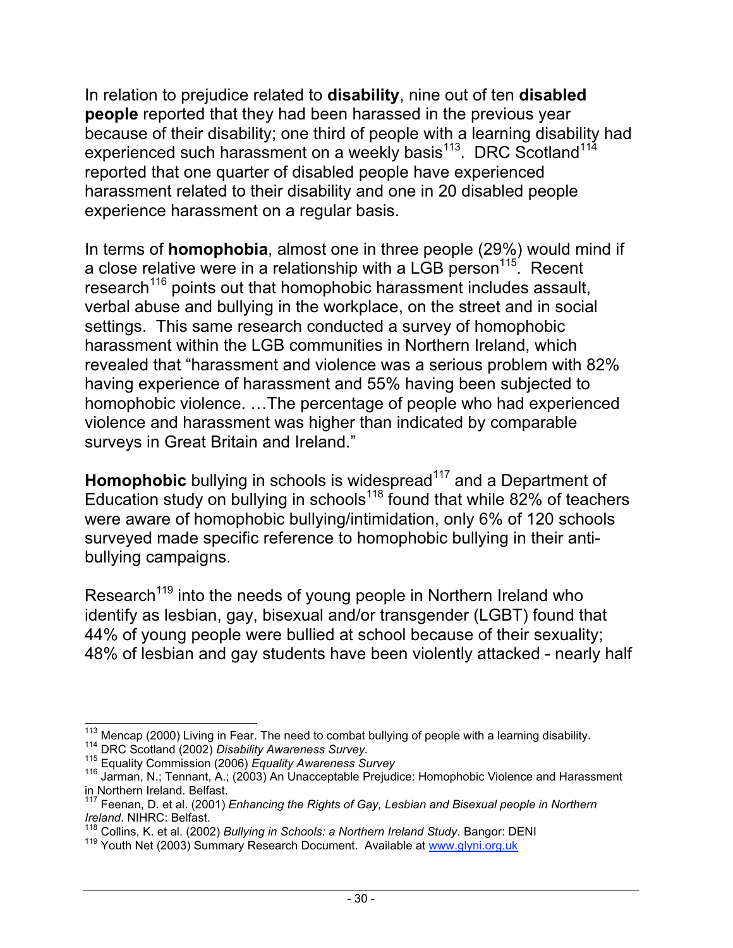In relation to prejudice related to **disability**, nine out of ten **disabled people** reported that they had been harassed in the previous year because of their disability; one third of people with a learning disability had experienced such harassment on a weekly basis<sup>113</sup>. DRC Scotland<sup>114</sup> reported that one quarter of disabled people have experienced harassment related to their disability and one in 20 disabled people experience harassment on a regular basis.

In terms of **homophobia**, almost one in three people (29%) would mind if a close relative were in a relationship with a LGB person<sup>115</sup>. Recent research<sup>116</sup> points out that homophobic harassment includes assault, verbal abuse and bullying in the workplace, on the street and in social settings. This same research conducted a survey of homophobic harassment within the LGB communities in Northern Ireland, which revealed that "harassment and violence was a serious problem with 82% having experience of harassment and 55% having been subjected to homophobic violence. …The percentage of people who had experienced violence and harassment was higher than indicated by comparable surveys in Great Britain and Ireland."

**Homophobic** bullying in schools is widespread<sup>117</sup> and a Department of Education study on bullying in schools<sup>118</sup> found that while  $82\%$  of teachers were aware of homophobic bullying/intimidation, only 6% of 120 schools surveyed made specific reference to homophobic bullying in their antibullying campaigns.

Research<sup>119</sup> into the needs of young people in Northern Ireland who identify as lesbian, gay, bisexual and/or transgender (LGBT) found that 44% of young people were bullied at school because of their sexuality; 48% of lesbian and gay students have been violently attacked - nearly half

<sup>&</sup>lt;sup>113</sup> Mencap (2000) Living in Fear. The need to combat bullying of people with a learning disability.<br><sup>114</sup> DRC Scotland (2002) *Disability Awareness Survey.*<br><sup>115</sup> Equality Commission (2006) *Equality Awareness Survey*<br><sup></sup>

in Northern Ireland. Belfast.

<sup>117</sup> Feenan, D. et al. (2001) *Enhancing the Rights of Gay, Lesbian and Bisexual people in Northern* Ireland. NIHRC: Belfast.<br>
<sup>118</sup> Collins, K. et al. (2002) *Bullying in Schools: a Northern Ireland Study*. Bangor: DENI

<sup>119</sup> Youth Net (2003) Summary Research Document. Available at www.glyni.org.uk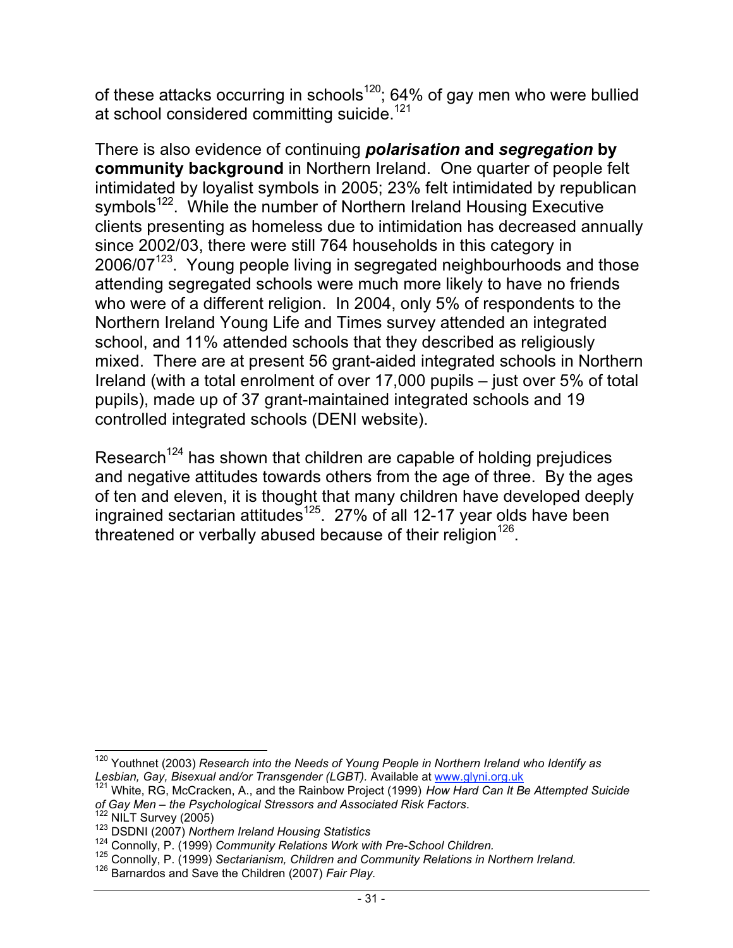of these attacks occurring in schools<sup>120</sup>; 64% of gay men who were bullied at school considered committing suicide.<sup>121</sup>

There is also evidence of continuing *polarisation* **and** *segregation* **by community background** in Northern Ireland. One quarter of people felt intimidated by loyalist symbols in 2005; 23% felt intimidated by republican symbols<sup>122</sup>. While the number of Northern Ireland Housing Executive clients presenting as homeless due to intimidation has decreased annually since 2002/03, there were still 764 households in this category in  $2006/07<sup>123</sup>$ . Young people living in segregated neighbourhoods and those attending segregated schools were much more likely to have no friends who were of a different religion. In 2004, only 5% of respondents to the Northern Ireland Young Life and Times survey attended an integrated school, and 11% attended schools that they described as religiously mixed. There are at present 56 grant-aided integrated schools in Northern Ireland (with a total enrolment of over 17,000 pupils – just over 5% of total pupils), made up of 37 grant-maintained integrated schools and 19 controlled integrated schools (DENI website).

Research<sup>124</sup> has shown that children are capable of holding prejudices and negative attitudes towards others from the age of three. By the ages of ten and eleven, it is thought that many children have developed deeply ingrained sectarian attitudes<sup>125</sup>. 27% of all 12-17 year olds have been threatened or verbally abused because of their religion<sup>126</sup>.

 <sup>120</sup> Youthnet (2003) *Research into the Needs of Young People in Northern Ireland who Identify as*

*Lesbian, Gay, Bisexual and/or Transgender (LGBT).* Available at www.glyni.org.uk<br><sup>121</sup> White, RG, McCracken, A., and the Rainbow Project (1999) *How Hard Can It Be Attempted Suicide*<br>of Gay Men – the Psychological Stresso

<sup>&</sup>lt;sup>122</sup> NILT Survey (2005)<br><sup>123</sup> DSDNI (2007) Northern Ireland Housing Statistics<br><sup>124</sup> Connolly, P. (1999) Community Relations Work with Pre-School Children.<br><sup>125</sup> Connolly, P. (1999) Sectarianism, Children and Community R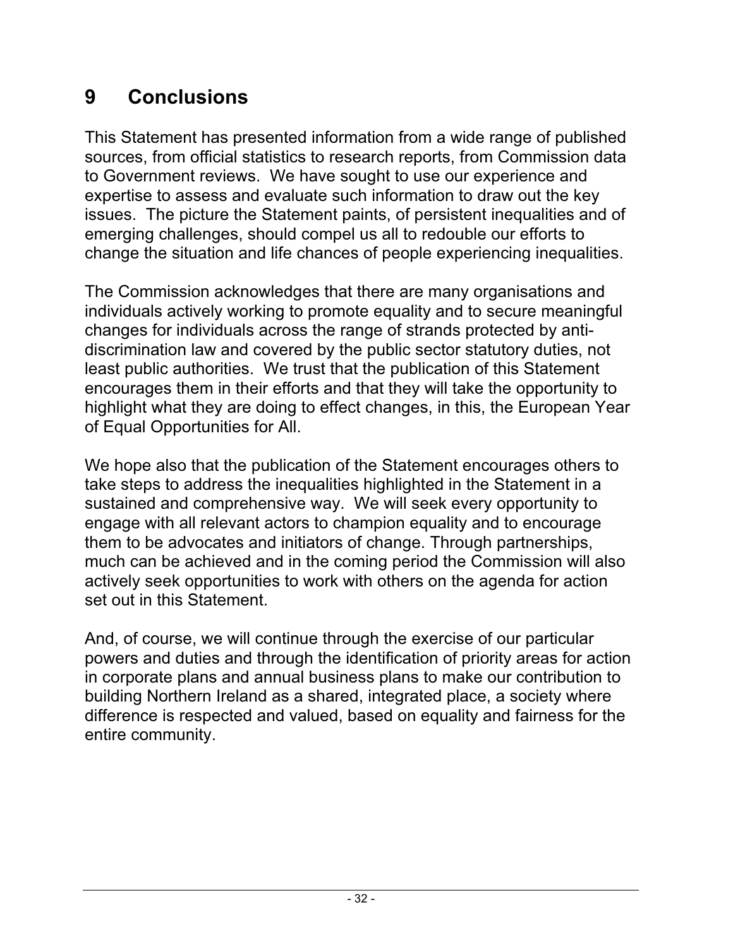#### **9 Conclusions**

This Statement has presented information from a wide range of published sources, from official statistics to research reports, from Commission data to Government reviews. We have sought to use our experience and expertise to assess and evaluate such information to draw out the key issues. The picture the Statement paints, of persistent inequalities and of emerging challenges, should compel us all to redouble our efforts to change the situation and life chances of people experiencing inequalities.

The Commission acknowledges that there are many organisations and individuals actively working to promote equality and to secure meaningful changes for individuals across the range of strands protected by antidiscrimination law and covered by the public sector statutory duties, not least public authorities. We trust that the publication of this Statement encourages them in their efforts and that they will take the opportunity to highlight what they are doing to effect changes, in this, the European Year of Equal Opportunities for All.

We hope also that the publication of the Statement encourages others to take steps to address the inequalities highlighted in the Statement in a sustained and comprehensive way. We will seek every opportunity to engage with all relevant actors to champion equality and to encourage them to be advocates and initiators of change. Through partnerships, much can be achieved and in the coming period the Commission will also actively seek opportunities to work with others on the agenda for action set out in this Statement.

And, of course, we will continue through the exercise of our particular powers and duties and through the identification of priority areas for action in corporate plans and annual business plans to make our contribution to building Northern Ireland as a shared, integrated place, a society where difference is respected and valued, based on equality and fairness for the entire community.